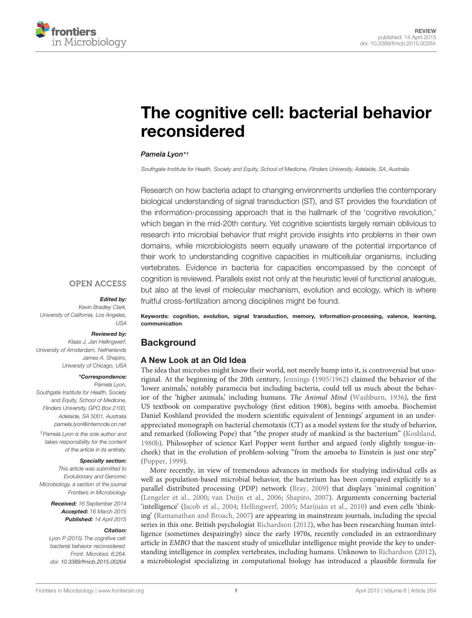

# [The cognitive cell: bacterial behavior](http://www.frontiersin.org/Journal/10.3389/fmicb.2015.00264/abstract) reconsidered

## *[Pamela Lyon\\*](http://community.frontiersin.org/people/u/96514) †*

*Southgate Institute for Health, Society and Equity, School of Medicine, Flinders University, Adelaide, SA, Australia*

Research on how bacteria adapt to changing environments underlies the contemporary biological understanding of signal transduction (ST), and ST provides the foundation of the information-processing approach that is the hallmark of the 'cognitive revolution,' which began in the mid-20th century. Yet cognitive scientists largely remain oblivious to research into microbial behavior that might provide insights into problems in their own domains, while microbiologists seem equally unaware of the potential importance of their work to understanding cognitive capacities in multicellular organisms, including vertebrates. Evidence in bacteria for capacities encompassed by the concept of cognition is reviewed. Parallels exist not only at the heuristic level of functional analogue, but also at the level of molecular mechanism, evolution and ecology, which is where fruitful cross-fertilization among disciplines might be found.

## **OPEN ACCESS**

#### *Edited by:*

*Kevin Bradley Clark, University of California, Los Angeles, USA*

#### *Reviewed by:*

*Klaas J. Jan Hellingwerf, University of Amsterdam, Netherlands James A. Shapiro, University of Chicago, USA*

#### *\*Correspondence:*

*Pamela Lyon, Southgate Institute for Health, Society and Equity, School of Medicine, Flinders University, GPO Box 2100, Adelaide, SA 5001, Australia pamela.lyon@internode.on.net*

*†Pamela Lyon is the sole author and takes responsibility for the content of the article in its entirety.*

#### *Specialty section:*

*This article was submitted to Evolutionary and Genomic Microbiology, a section of the journal Frontiers in Microbiology*

> *Received: 16 September 2014 Accepted: 16 March 2015 Published: 14 April 2015*

#### *Citation:*

*Lyon P (2015) The cognitive cell: bacterial behavior reconsidered. Front. Microbiol. 6:264. doi: [10.3389/fmicb.2015.00264](http://dx.doi.org/10.3389/fmicb.2015.00264)*

Keywords: cognition, evolution, signal transduction, memory, information-processing, valence, learning, communication

# **Background**

# A New Look at an Old Idea

The idea that microbes might know their world, not merely bump into it, is controversial but unoriginal. At the beginning of the 20th century, [Jennings](#page-15-0) [\(1905/1962\)](#page-15-0) claimed the behavior of the 'lower animals,' notably paramecia but including bacteria, could tell us much about the behavior of the 'higher animals,' including humans. *The Animal Mind* [\(Washburn](#page-17-0), [1936](#page-17-0)*)*, the first US textbook on comparative psychology (first edition 1908), begins with amoeba. Biochemist Daniel Koshland provided the modern scientific equivalent of Jennings' argument in an underappreciated monograph on bacterial chemotaxis (CT) as a model system for the study of behavior, and remarked (following Pope) that "the proper study of mankind is the bacterium" [\(Koshland](#page-15-1), [1980b\)](#page-15-1). Philosopher of science Karl Popper went further and argued (only slightly tongue-incheek) that in the evolution of problem-solving "from the amoeba to Einstein is just one step" [\(Popper, 1999](#page-16-0)).

More recently, in view of tremendous advances in methods for studying individual cells as well as population-based microbial behavior, the bacterium has been compared explicitly to a parallel distributed processing (PDP) network [\(Bray, 2009](#page-14-0)) that displays 'minimal cognition' [\(Lengeler et al.](#page-15-2), [2000](#page-15-2); [van Duijn et al., 2006](#page-16-1); [Shapiro](#page-16-2), [2007\)](#page-16-2). Arguments concerning bacterial 'intelligence' [\(Jacob et al., 2004](#page-15-3); [Hellingwerf](#page-14-1), [2005;](#page-14-1) [Marijuán et al.](#page-15-4), [2010\)](#page-15-4) and even cells 'thinking' [\(Ramanathan and Broach](#page-16-3), [2007](#page-16-3)) are appearing in mainstream journals, including the special series in this one. British psychologist [Richardson](#page-16-4) [\(2012\)](#page-16-4), who has been researching human intelligence (sometimes despairingly) since the early 1970s, recently concluded in an extraordinary article in *EMBO* that the nascent study of unicellular intelligence might provide the key to understanding intelligence in complex vertebrates, including humans. Unknown to [Richardson](#page-16-4) [\(2012](#page-16-4)), a microbiologist specializing in computational biology has introduced a plausible formula for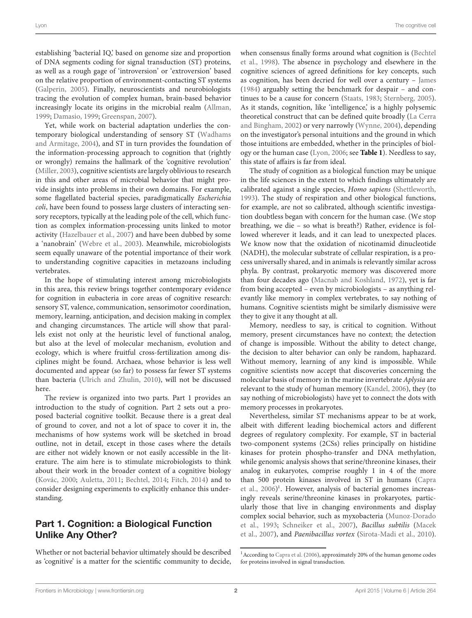establishing 'bacterial IQ,' based on genome size and proportion of DNA segments coding for signal transduction (ST) proteins, as well as a rough gage of 'introversion' or 'extroversion' based on the relative proportion of environment-contacting ST systems [\(Galperin, 2005](#page-14-2)). Finally, neuroscientists and neurobiologists tracing the evolution of complex human, brain-based behavior increasingly locate its origins in the microbial realm [\(Allman](#page-13-0), [1999](#page-13-0); [Damasio](#page-14-3), [1999;](#page-14-3) [Greenspan, 2007](#page-14-4)).

Yet, while work on bacterial adaptation underlies the contemporary bi[ological understanding of sensory ST \(](#page-17-1)Wadhams and Armitage, [2004\)](#page-17-1), and ST in turn provides the foundation of the information-processing approach to cognition that (rightly or wrongly) remains the hallmark of the 'cognitive revolution' [\(Miller](#page-15-5), [2003](#page-15-5)), cognitive scientists are largely oblivious to research in this and other areas of microbial behavior that might provide insights into problems in their own domains. For example, some flagellated bacterial species, paradigmatically *Escherichia coli*, have been found to possess large clusters of interacting sensory receptors, typically at the leading pole of the cell, which function as complex information-processing units linked to motor activity [\(Hazelbauer et al.](#page-14-5), [2007](#page-14-5)) and have been dubbed by some a 'nanobrain' [\(Webre et al., 2003](#page-17-2)). Meanwhile, microbiologists seem equally unaware of the potential importance of their work to understanding cognitive capacities in metazoans including vertebrates.

In the hope of stimulating interest among microbiologists in this area, this review brings together contemporary evidence for cognition in eubacteria in core areas of cognitive research: sensory ST, valence, communication, sensorimotor coordination, memory, learning, anticipation, and decision making in complex and changing circumstances. The article will show that parallels exist not only at the heuristic level of functional analog, but also at the level of molecular mechanism, evolution and ecology, which is where fruitful cross-fertilization among disciplines might be found. Archaea, whose behavior is less well documented and appear (so far) to possess far fewer ST systems than bacteria [\(Ulrich and Zhulin](#page-16-5), [2010](#page-16-5)), will not be discussed here.

The review is organized into two parts. Part 1 provides an introduction to the study of cognition. Part 2 sets out a proposed bacterial cognitive toolkit. Because there is a great deal of ground to cover, and not a lot of space to cover it in, the mechanisms of how systems work will be sketched in broad outline, not in detail, except in those cases where the details are either not widely known or not easily accessible in the literature. The aim here is to stimulate microbiologists to think about their work in the broader context of a cognitive biology [\(Kovác, 2000;](#page-15-6) [Auletta](#page-13-1), [2011](#page-13-1); [Bechtel, 2014](#page-13-2); [Fitch, 2014](#page-14-6)) and to consider designing experiments to explicitly enhance this understanding.

# Part 1. Cognition: a Biological Function Unlike Any Other?

Whether or not bacterial behavior ultimately should be described as 'cognitive' is a matter for the scientific community to decide, whe[n consensus finally forms around what cognition is \(](#page-13-3)Bechtel et al., [1998](#page-13-3)). The absence in psychology and elsewhere in the cognitive sciences of agreed definitions for key concepts, such as cognition, has been decried for well over a century – [James](#page-15-7) [\(1984\)](#page-15-7) arguably setting the benchmark for despair – and continues to be a cause for concern [\(Staats](#page-16-6), [1983](#page-16-6); [Sternberg](#page-16-7), [2005\)](#page-16-7). As it stands, cognition, like 'intelligence' is a highly polysemic theoretical c[onstruct that can be defined quite broadly \(](#page-15-8)La Cerra and Bingham, [2002](#page-15-8)) or very narrowly [\(Wynne, 2004](#page-17-3)), depending on the investigator's personal intuitions and the ground in which those intuitions are embedded, whether in the principles of biology or the human case [\(Lyon, 2006;](#page-15-9) see **[Table 1](#page-2-0)**). Needless to say, this state of affairs is far from ideal.

The study of cognition as a biological function may be unique in the life sciences in the extent to which findings ultimately are calibrated against a single species, *Homo sapiens* [\(Shettleworth,](#page-16-8) [1993\)](#page-16-8). The study of respiration and other biological functions, for example, are not so calibrated, although scientific investigation doubtless began with concern for the human case. (We stop breathing, we die – so what is breath?) Rather, evidence is followed wherever it leads, and it can lead to unexpected places. We know now that the oxidation of nicotinamid dinucleotide (NADH), the molecular substrate of cellular respiration, is a process universally shared, and in animals is relevantly similar across phyla. By contrast, prokaryotic memory was discovered more than four decades ago [\(Macnab and Koshland, 1972](#page-15-10)), yet is far from being accepted – even by microbiologists – as anything relevantly like memory in complex vertebrates, to say nothing of humans. Cognitive scientists might be similarly dismissive were they to give it any thought at all.

Memory, needless to say, is critical to cognition. Without memory, present circumstances have no context; the detection of change is impossible. Without the ability to detect change, the decision to alter behavior can only be random, haphazard. Without memory, learning of any kind is impossible. While cognitive scientists now accept that discoveries concerning the molecular basis of memory in the marine invertebrate *Aplysia* are relevant to the study of human memory [\(Kandel, 2006](#page-15-11)), they (to say nothing of microbiologists) have yet to connect the dots with memory processes in prokaryotes.

Nevertheless, similar ST mechanisms appear to be at work, albeit with different leading biochemical actors and different degrees of regulatory complexity. For example, ST in bacterial two-component systems (2CSs) relies principally on histidine kinases for protein phospho-transfer and DNA methylation, while genomic analysis shows that serine/threonine kinases, their analog in eukaryotes, comprise roughly 1 in 4 of the more than [500 protein kinases involved in ST in humans \(](#page-14-7)Capra et al., [2006](#page-14-7)) [1](#page-1-0) . However, analysis of bacterial genomes increasingly reveals serine/threonine kinases in prokaryotes, particularly those that live in changing environments and display com[plex](#page-16-9) [social](#page-16-9) [behavior,](#page-16-9) [such](#page-16-9) [as](#page-16-9) [myxobacteria](#page-16-9) [\(](#page-16-9)Munoz-Dorado et al., [1993;](#page-16-9) [Schneiker et al.](#page-16-10)[,](#page-15-12) [2007](#page-16-10)[\),](#page-15-12) *Bacillus subtilis* (Macek et al., [2007](#page-15-12)), and *Paenibacillus vortex* [\(Sirota-Madi et al.](#page-16-11), [2010\)](#page-16-11).

<span id="page-1-0"></span><sup>&</sup>lt;sup>1</sup> According to [Capra et al.](#page-14-7) [\(2006](#page-14-7)), approximately 20% of the human genome codes for proteins involved in signal transduction.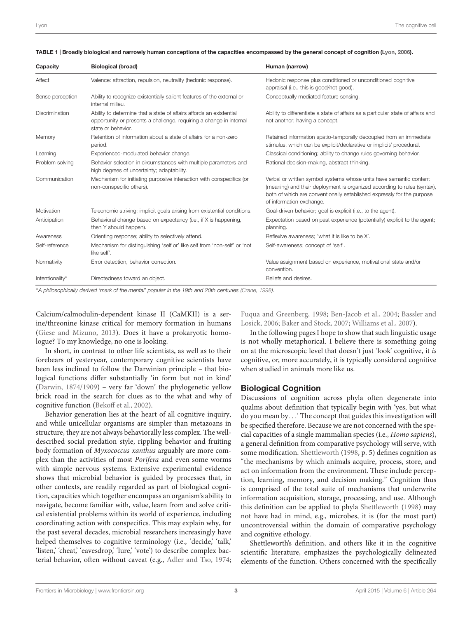| Capacity         | <b>Biological (broad)</b>                                                                                                                                        | Human (narrow)                                                                                                                                                                                                                                       |
|------------------|------------------------------------------------------------------------------------------------------------------------------------------------------------------|------------------------------------------------------------------------------------------------------------------------------------------------------------------------------------------------------------------------------------------------------|
| Affect           | Valence: attraction, repulsion, neutrality (hedonic response).                                                                                                   | Hedonic response plus conditioned or unconditioned cognitive<br>appraisal (i.e., this is good/not good).                                                                                                                                             |
| Sense perception | Ability to recognize existentially salient features of the external or<br>internal milieu.                                                                       | Conceptually mediated feature sensing.                                                                                                                                                                                                               |
| Discrimination   | Ability to determine that a state of affairs affords an existential<br>opportunity or presents a challenge, requiring a change in internal<br>state or behavior. | Ability to differentiate a state of affairs as a particular state of affairs and<br>not another; having a concept.                                                                                                                                   |
| Memory           | Retention of information about a state of affairs for a non-zero<br>period.                                                                                      | Retained information spatio-temporally decoupled from an immediate<br>stimulus, which can be explicit/declarative or implicit/ procedural.                                                                                                           |
| Learning         | Experienced-modulated behavior change.                                                                                                                           | Classical conditioning; ability to change rules governing behavior.                                                                                                                                                                                  |
| Problem solving  | Behavior selection in circumstances with multiple parameters and<br>high degrees of uncertainty; adaptability.                                                   | Rational decision-making, abstract thinking.                                                                                                                                                                                                         |
| Communication    | Mechanism for initiating purposive interaction with conspecifics (or<br>non-conspecific others).                                                                 | Verbal or written symbol systems whose units have semantic content<br>(meaning) and their deployment is organized according to rules (syntax),<br>both of which are conventionally established expressly for the purpose<br>of information exchange. |
| Motivation       | Teleonomic striving; implicit goals arising from existential conditions.                                                                                         | Goal-driven behavior; goal is explicit (i.e., to the agent).                                                                                                                                                                                         |
| Anticipation     | Behavioral change based on expectancy (i.e., if X is happening,<br>then Y should happen).                                                                        | Expectation based on past experience (potentially) explicit to the agent;<br>planning.                                                                                                                                                               |
| Awareness        | Orienting response; ability to selectively attend.                                                                                                               | Reflexive awareness; 'what it is like to be X'.                                                                                                                                                                                                      |
| Self-reference   | Mechanism for distinguishing 'self or' like self from 'non-self' or 'not<br>like self'.                                                                          | Self-awareness; concept of 'self'.                                                                                                                                                                                                                   |
| Normativity      | Error detection, behavior correction.                                                                                                                            | Value assignment based on experience, motivational state and/or<br>convention.                                                                                                                                                                       |
| Intentionality*  | Directedness toward an object.                                                                                                                                   | Beliefs and desires.                                                                                                                                                                                                                                 |

<span id="page-2-0"></span>

|  |  |  |  |  |  |  | TABLE 1   Broadly biological and narrowly human conceptions of the capacities encompassed by the general concept of cognition (Lyon, 2006). |
|--|--|--|--|--|--|--|---------------------------------------------------------------------------------------------------------------------------------------------|
|--|--|--|--|--|--|--|---------------------------------------------------------------------------------------------------------------------------------------------|

∗*A philosophically derived 'mark of the mental' popular in the 19th and 20th centuries [\(Crane](#page-14-8), [1998\)](#page-14-8).*

Calcium/calmodulin-dependent kinase II (CaMKII) is a serine/threonine kinase critical for memory formation in humans [\(Giese and Mizuno, 2013](#page-14-9)). Does it have a prokaryotic homologue? To my knowledge, no one is looking.

In short, in contrast to other life scientists, as well as to their forebears of yesteryear, contemporary cognitive scientists have been less inclined to follow the Darwinian principle – that biological functions differ substantially 'in form but not in kind' [\(Darwin](#page-14-10), [1874/1909\)](#page-14-10) – very far 'down' the phylogenetic yellow brick road in the search for clues as to the what and why of cognitive function [\(Bekoff et al., 2002](#page-13-4)).

Behavior generation lies at the heart of all cognitive inquiry, and while unicellular organisms are simpler than metazoans in structure, they are not always behaviorally less complex. The welldescribed social predation style, rippling behavior and fruiting body formation of *Myxococcus xanthus* arguably are more complex than the activities of most *Porifera* and even some worms with simple nervous systems. Extensive experimental evidence shows that microbial behavior is guided by processes that, in other contexts, are readily regarded as part of biological cognition, capacities which together encompass an organism's ability to navigate, become familiar with, value, learn from and solve critical existential problems within its world of experience, including coordinating action with conspecifics. This may explain why, for the past several decades, microbial researchers increasingly have helped themselves to cognitive terminology (i.e., 'decide,' 'talk,' 'listen,' cheat,' 'eavesdrop,' 'lure,' 'vote') to describe complex bacterial behavior, often without caveat (e.g., [Adler and Tso](#page-13-5), [1974;](#page-13-5) [Fuqua and Greenberg, 1998](#page-14-11)[;](#page-13-7) [Ben-Jacob et al.](#page-13-6), [2004](#page-13-6); Bassler and Losick, [2006](#page-13-7); [Baker and Stock](#page-13-8), [2007;](#page-13-8) [Williams et al.](#page-17-4), [2007\)](#page-17-4).

In the following pages I hope to show that such linguistic usage is not wholly metaphorical. I believe there is something going on at the microscopic level that doesn't just 'look' cognitive, it *is* cognitive, or, more accurately, it is typically considered cognitive when studied in animals more like us.

## Biological Cognition

Discussions of cognition across phyla often degenerate into qualms about definition that typically begin with 'yes, but what do you mean by*...*' The concept that guides this investigation will be specified therefore. Because we are not concerned with the special capacities of a single mammalian species (i.e., *Homo sapiens*), a general definition from comparative psychology will serve, with some modification. [Shettleworth](#page-16-12) [\(1998,](#page-16-12) p. 5) defines cognition as "the mechanisms by which animals acquire, process, store, and act on information from the environment. These include perception, learning, memory, and decision making." Cognition thus is comprised of the total suite of mechanisms that underwrite information acquisition, storage, processing, and use. Although this definition can be applied to phyla [Shettleworth](#page-16-12) [\(1998](#page-16-12)) may not have had in mind, e.g., microbes, it is (for the most part) uncontroversial within the domain of comparative psychology and cognitive ethology.

Shettleworth's definition, and others like it in the cognitive scientific literature, emphasizes the psychologically delineated elements of the function. Others concerned with the specifically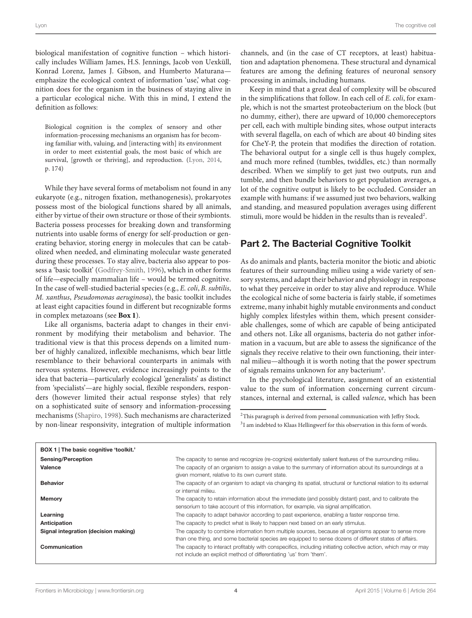biological manifestation of cognitive function – which historically includes William James, H.S. Jennings, Jacob von Uexküll, Konrad Lorenz, James J. Gibson, and Humberto Maturana emphasize the ecological context of information 'use,' what cognition does for the organism in the business of staying alive in a particular ecological niche. With this in mind, I extend the definition as follows:

Biological cognition is the complex of sensory and other information-processing mechanisms an organism has for becoming familiar with, valuing, and [interacting with] its environment in order to meet existential goals, the most basic of which are survival, [growth or thriving], and reproduction. [\(Lyon, 2014,](#page-15-13) p. 174)

While they have several forms of metabolism not found in any eukaryote (e.g., nitrogen fixation, methanogenesis), prokaryotes possess most of the biological functions shared by all animals, either by virtue of their own structure or those of their symbionts. Bacteria possess processes for breaking down and transforming nutrients into usable forms of energy for self-production or generating behavior, storing energy in molecules that can be catabolized when needed, and eliminating molecular waste generated during these processes. To stay alive, bacteria also appear to possess a 'basic toolkit' [\(Godfrey-Smith](#page-14-12), [1996\)](#page-14-12), which in other forms of life—especially mammalian life – would be termed cognitive. In the case of well-studied bacterial species (e.g., *E. coli*, *B. subtilis*, *M. xanthus*, *Pseudomonas aeruginosa*), the basic toolkit includes at least eight capacities found in different but recognizable forms in complex metazoans (see **[Box 1](#page-3-0)**).

Like all organisms, bacteria adapt to changes in their environment by modifying their metabolism and behavior. The traditional view is that this process depends on a limited number of highly canalized, inflexible mechanisms, which bear little resemblance to their behavioral counterparts in animals with nervous systems. However, evidence increasingly points to the idea that bacteria—particularly ecological 'generalists' as distinct from 'specialists'—are highly social, flexible responders, responders (however limited their actual response styles) that rely on a sophisticated suite of sensory and information-processing mechanisms [\(Shapiro](#page-16-13), [1998\)](#page-16-13). Such mechanisms are characterized by non-linear responsivity, integration of multiple information

channels, and (in the case of CT receptors, at least) habituation and adaptation phenomena. These structural and dynamical features are among the defining features of neuronal sensory processing in animals, including humans.

Keep in mind that a great deal of complexity will be obscured in the simplifications that follow. In each cell of *E. coli*, for example, which is not the smartest proteobacterium on the block (but no dummy, either), there are upward of 10,000 chemoreceptors per cell, each with multiple binding sites, whose output interacts with several flagella, on each of which are about 40 binding sites for CheY-P, the protein that modifies the direction of rotation. The behavioral output for a single cell is thus hugely complex, and much more refined (tumbles, twiddles, etc.) than normally described. When we simplify to get just two outputs, run and tumble, and then bundle behaviors to get population averages, a lot of the cognitive output is likely to be occluded. Consider an example with humans: if we assumed just two behaviors, walking and standing, and measured population averages using different stimuli, more would be hidden in the results than is revealed<sup>2</sup>.

# Part 2. The Bacterial Cognitive Toolkit

As do animals and plants, bacteria monitor the biotic and abiotic features of their surrounding milieu using a wide variety of sensory systems, and adapt their behavior and physiology in response to what they perceive in order to stay alive and reproduce. While the ecological niche of some bacteria is fairly stable, if sometimes extreme, many inhabit highly mutable environments and conduct highly complex lifestyles within them, which present considerable challenges, some of which are capable of being anticipated and others not. Like all organisms, bacteria do not gather information in a vacuum, but are able to assess the significance of the signals they receive relative to their own functioning, their internal milieu—although it is worth noting that the power spectrum of signals remains unknown for any bacterium<sup>3</sup>.

In the psychological literature, assignment of an existential value to the sum of information concerning current circumstances, internal and external, is called *valence*, which has been

<span id="page-3-2"></span><span id="page-3-1"></span> $2$ This paragraph is derived from personal communication with Jeffry Stock. <sup>3</sup>I am indebted to Klaas Hellingwerf for this observation in this form of words.

<span id="page-3-0"></span>

| BOX 1   The basic cognitive 'toolkit.' |                                                                                                                                                                                                                  |
|----------------------------------------|------------------------------------------------------------------------------------------------------------------------------------------------------------------------------------------------------------------|
| Sensing/Perception                     | The capacity to sense and recognize (re-cognize) existentially salient features of the surrounding milieu.                                                                                                       |
| Valence                                | The capacity of an organism to assign a value to the summary of information about its surroundings at a<br>given moment, relative to its own current state.                                                      |
| <b>Behavior</b>                        | The capacity of an organism to adapt via changing its spatial, structural or functional relation to its external<br>or internal milieu.                                                                          |
| Memory                                 | The capacity to retain information about the immediate (and possibly distant) past, and to calibrate the<br>sensorium to take account of this information, for example, via signal amplification.                |
| Learning                               | The capacity to adapt behavior according to past experience, enabling a faster response time.                                                                                                                    |
| Anticipation                           | The capacity to predict what is likely to happen next based on an early stimulus.                                                                                                                                |
| Signal integration (decision making)   | The capacity to combine information from multiple sources, because all organisms appear to sense more<br>than one thing, and some bacterial species are equipped to sense dozens of different states of affairs. |
| Communication                          | The capacity to interact profitably with conspecifics, including initiating collective action, which may or may<br>not include an explicit method of differentiating 'us' from 'them'.                           |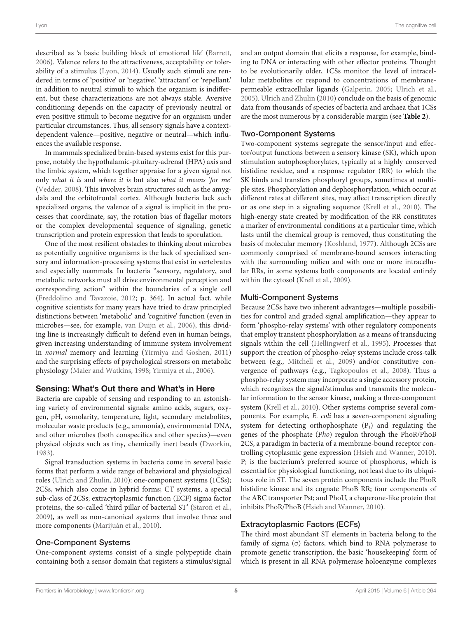described as 'a basic building block of emotional life' [\(Barrett,](#page-13-9) [2006](#page-13-9))*.* Valence refers to the attractiveness, acceptability or tolerability of a stimulus [\(Lyon, 2014](#page-15-13)). Usually such stimuli are rendered in terms of 'positive' or 'negative,' 'attractant' or 'repellant,' in addition to neutral stimuli to which the organism is indifferent, but these characterizations are not always stable. Aversive conditioning depends on the capacity of previously neutral or even positive stimuli to become negative for an organism under particular circumstances. Thus, all sensory signals have a contextdependent valence—positive, negative or neutral—which influ-

ences the available response. In mammals specialized brain-based systems exist for this purpose, notably the hypothalamic-pituitary-adrenal (HPA) axis and the limbic system, which together appraise for a given signal not only *what it is* and *where it is* but also *what it means 'for me'* [\(Vedder, 2008\)](#page-16-14). This involves brain structures such as the amygdala and the orbitofrontal cortex. Although bacteria lack such specialized organs, the valence of a signal is implicit in the processes that coordinate, say, the rotation bias of flagellar motors or the complex developmental sequence of signaling, genetic transcription and protein expression that leads to sporulation.

One of the most resilient obstacles to thinking about microbes as potentially cognitive organisms is the lack of specialized sensory and information-processing systems that exist in vertebrates and especially mammals. In bacteria "sensory, regulatory, and metabolic networks must all drive environmental perception and corresponding action" within the boundaries of a single cell [\(Freddolino and Tavazoie, 2012](#page-14-13); p. 364). In actual fact, while cognitive scientists for many years have tried to draw principled distinctions between 'metabolic' and 'cognitive' function (even in microbes—see, for example, [van Duijn et al.](#page-16-1), [2006\)](#page-16-1), this dividing line is increasingly difficult to defend even in human beings, given increasing understanding of immune system involvement in *normal* memory and learning [\(Yirmiya and Goshen](#page-17-5), [2011\)](#page-17-5) and the surprising effects of psychological stressors on metabolic physiology [\(Maier and Watkins](#page-15-14), [1998](#page-15-14); [Yirmiya et al.](#page-17-6), [2006\)](#page-17-6).

# Sensing: What's Out there and What's in Here

Bacteria are capable of sensing and responding to an astonishing variety of environmental signals: amino acids, sugars, oxygen, pH, osmolarity, temperature, light, secondary metabolites, molecular waste products (e.g., ammonia), environmental DNA, and other microbes (both conspecifics and other species)—even physical objects such as tiny, chemically inert beads [\(Dworkin](#page-14-14), [1983](#page-14-14)).

Signal transduction systems in bacteria come in several basic forms that perform a wide range of behavioral and physiological roles [\(Ulrich and Zhulin](#page-16-5), [2010](#page-16-5)): one-component systems (1CSs); 2CSs, which also come in hybrid forms; CT systems, a special sub-class of 2CSs; extracytoplasmic function (ECF) sigma factor proteins, the so-called 'third pillar of bacterial ST' [\(Staron et al.,](#page-16-15) [2009](#page-16-15)), as well as non-canonical systems that involve three and more components [\(Marijuán et al., 2010](#page-15-4)).

# One-Component Systems

One-component systems consist of a single polypeptide chain containing both a sensor domain that registers a stimulus/signal

and an output domain that elicits a response, for example, binding to DNA or interacting with other effector proteins. Thought to be evolutionarily older, 1CSs monitor the level of intracellular metabolites or respond to concentrations of membranepermeable extracellular ligands [\(Galperin](#page-14-2), [2005;](#page-14-2) [Ulrich et al.](#page-16-16), [2005](#page-16-16)). [Ulrich and Zhulin](#page-16-5) [\(2010\)](#page-16-5) conclude on the basis of genomic data from thousands of species of bacteria and archaea that 1CSs are the most numerous by a considerable margin (see **[Table 2](#page-5-0)**).

# Two-Component Systems

Two-component systems segregate the sensor/input and effector/output functions between a sensory kinase (SK), which upon stimulation autophosphorylates, typically at a highly conserved histidine residue, and a response regulator (RR) to which the SK binds and transfers phosphoryl groups, sometimes at multiple sites. Phosphorylation and dephosphorylation, which occur at different rates at different sites, may affect transcription directly or as one step in a signaling sequence [\(Krell et al., 2010\)](#page-15-15). The high-energy state created by modification of the RR constitutes a marker of environmental conditions at a particular time, which lasts until the chemical group is removed, thus constituting the basis of molecular memory [\(Koshland](#page-15-16), [1977\)](#page-15-16). Although 2CSs are commonly comprised of membrane-bound sensors interacting with the surrounding milieu and with one or more intracellular RRs, in some systems both components are located entirely within the cytosol [\(Krell et al.](#page-15-17), [2009\)](#page-15-17).

# Multi-Component Systems

Because 2CSs have two inherent advantages—multiple possibilities for control and graded signal amplification—they appear to form 'phospho-relay systems' with other regulatory components that employ transient phosphorylation as a means of transducing signals within the cell [\(Hellingwerf et al., 1995](#page-14-15)). Processes that support the creation of phospho-relay systems include cross-talk between (e.g., [Mitchell et al., 2009\)](#page-16-17) and/or constitutive convergence of pathways (e.g., [Tagkopoulos et al., 2008](#page-16-18)). Thus a phospho-relay system may incorporate a single accessory protein, which recognizes the signal/stimulus and transmits the molecular information to the sensor kinase, making a three-component system [\(Krell et al.](#page-15-15), [2010\)](#page-15-15). Other systems comprise several components. For example, *E. coli* has a seven-component signaling system for detecting orthophosphate (Pi) and regulating the genes of the phosphate (*Pho*) regulon through the PhoR/PhoB 2CS, a paradigm in bacteria of a membrane-bound receptor controlling cytoplasmic gene expression [\(Hsieh and Wanner](#page-15-18), [2010](#page-15-18)).  $P_i$  is the bacterium's preferred source of phosphorus, which is essential for physiological functioning, not least due to its ubiquitous role in ST. The seven protein components include the PhoR histidine kinase and its cognate PhoB RR; four components of the ABC transporter Pst; and PhoU, a chaperone-like protein that inhibits PhoR/PhoB [\(Hsieh and Wanner, 2010](#page-15-18)).

# Extracytoplasmic Factors (ECFs)

The third most abundant ST elements in bacteria belong to the family of sigma (σ) factors, which bind to RNA polymerase to promote genetic transcription, the basic 'housekeeping' form of which is present in all RNA polymerase holoenzyme complexes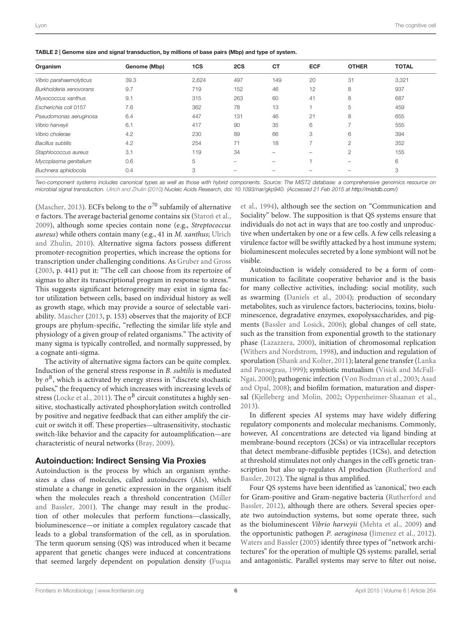<span id="page-5-0"></span>

|  | TABLE 2   Genome size and signal transduction, by millions of base pairs (Mbp) and type of system. |
|--|----------------------------------------------------------------------------------------------------|
|--|----------------------------------------------------------------------------------------------------|

| Organism                 | Genome (Mbp) | 1CS   | 2CS | <b>CT</b> | <b>ECF</b> | <b>OTHER</b>             | <b>TOTAL</b> |
|--------------------------|--------------|-------|-----|-----------|------------|--------------------------|--------------|
| Vibrio parahaemolyticus  | 39.3         | 2,624 | 497 | 149       | 20         | 31                       | 3,321        |
| Burkholderia xenovorans  | 9.7          | 719   | 152 | 46        | 12         | 8                        | 937          |
| Myxococcus xanthus       | 9.1          | 315   | 263 | 60        | 41         | 8                        | 687          |
| Escherichia coli 0157    | 7.6          | 362   | 78  | 13        |            | 5                        | 459          |
| Pseudomonas aeruginosa   | 6.4          | 447   | 131 | 46        | 21         | 8                        | 655          |
| Vibrio harveyii          | 6.1          | 417   | 90  | 35        | 6          |                          | 555          |
| Vibrio cholerae          | 4.2          | 230   | 89  | 66        | 3          | 6                        | 394          |
| <b>Bacillus subtilis</b> | 4.2          | 254   | 71  | 18        |            | $\mathfrak{D}$           | 352          |
| Staphlococcus aureus     | 3.1          | 119   | 34  |           | -          | $\overline{c}$           | 155          |
| Mycoplasma genitalium    | 0.6          | 5     |     | -         |            | $\overline{\phantom{a}}$ | 6            |
| Buchnera aphidocola      | 0.4          | 3     |     |           |            |                          | 3            |

*Two-component systems includes canonical types as well as those with hybrid components. Source: The MiST2 database: a comprehensive genomics resource on microbial signal transduction. [Ulrich and Zhulin](#page-16-5) [\(2010\)](#page-16-5) Nucleic Acids Research, doi: 10.1093/nar/gkp940. (Accessed 21 Feb 2015 at [http://mistdb.com/\)](http://mistdb.com/)*

[\(Mascher, 2013\)](#page-15-19). ECFs belong to the  $\sigma^{70}$  subfamily of alternative σ factors. The average bacterial genome contains six [\(Staron et al.](#page-16-15), ´ [2009](#page-16-15)), although some species contain none (e.g., *Streptococcus aureus*) wh[ile others contain many \(e.g., 41 in](#page-16-5) *M. xanthus*; Ulrich and Zhulin, [2010](#page-16-5)). Alternative sigma factors possess different promoter-recognition properties, which increase the options for transcription under challenging conditions. As [Gruber and Gross](#page-14-16) [\(2003](#page-14-16), p. 441) put it: "The cell can choose from its repertoire of sigmas to alter its transcriptional program in response to stress." This suggests significant heterogeneity may exist in sigma factor utilization between cells, based on individual history as well as growth stage, which may provide a source of selectable variability. [Mascher](#page-15-19) [\(2013](#page-15-19), p. 153) observes that the majority of ECF groups are phylum-specific, "reflecting the similar life style and physiology of a given group of related organisms." The activity of many sigma is typically controlled, and normally suppressed, by a cognate anti-sigma.

The activity of alternative sigma factors can be quite complex. Induction of the general stress response in *B. subtilis* is mediated by  $\sigma^B$ , which is activated by energy stress in "discrete stochastic pulses," the frequency of which increases with increasing levels of stress [\(Locke et al., 2011](#page-15-20)). The  $\sigma^B$  circuit constitutes a highly sensitive, stochastically activated phosphorylation switch controlled by positive and negative feedback that can either amplify the circuit or switch it off. These properties—ultrasensitivity, stochastic switch-like behavior and the capacity for autoamplification—are characteristic of neural networks [\(Bray](#page-14-0), [2009\)](#page-14-0).

## Autoinduction: Indirect Sensing Via Proxies

Autoinduction is the process by which an organism synthesizes a class of molecules, called autoinducers (AIs), which stimulate a change in genetic expression in the organism itself when the [molecules](#page-15-21) [reach](#page-15-21) [a](#page-15-21) [threshold](#page-15-21) [concentration](#page-15-21) [\(](#page-15-21)Miller and Bassler, [2001](#page-15-21)). The change may result in the production of other molecules that perform functions—classically, bioluminescence—or initiate a complex regulatory cascade that leads to a global transformation of the cell, as in sporulation. The term quorum sensing (QS) was introduced when it became apparent that genetic changes were induced at concentrations that seemed largely dependent on population density (Fuqua

et al., [1994\)](#page-14-17), although see the section on "Communication and Sociality" below. The supposition is that QS systems ensure that individuals do not act in ways that are too costly and unproductive when undertaken by one or a few cells. A few cells releasing a virulence factor will be swiftly attacked by a host immune system; bioluminescent molecules secreted by a lone symbiont will not be visible.

Autoinduction is widely considered to be a form of communication to facilitate cooperative behavior and is the basis for many collective activities, including: social motility, such as swarming [\(Daniels et al., 2004](#page-14-18)); production of secondary metabolites, such as virulence factors, bacteriocins, toxins, bioluminescence, degradative enzymes, exopolysaccharides, and pigments [\(Bassler and Losick](#page-13-7), [2006\)](#page-13-7); global changes of cell state, such as the transition from exponential growth to the stationary phase [\(Lazazzera](#page-15-22), [2000](#page-15-22)), initiation of chromosomal replication [\(Withers and Nordstrom, 1998](#page-17-7)), and induction and regulation of sporulation [\(Shank and Kolter, 2011](#page-16-19)); lateral gene transfer (Lanka and [Pansegrau,](#page-17-8) [1999](#page-15-23)[\); symbiotic mutualism \(](#page-17-8)Visick and McFall-Ngai, [2000](#page-17-8)[\); pathogenic infection](#page-13-10) [\(Von Bodman et al.](#page-17-9)[,](#page-13-10) [2003](#page-17-9)[;](#page-13-10) Asad and Opal, [2008](#page-13-10)); and biofilm formation, maturation and dispersal [\(Kjelleberg and Molin, 2002](#page-15-24); [Oppenheimer-Shaanan et al.](#page-16-20), [2013\)](#page-16-20).

In different species AI systems may have widely differing regulatory components and molecular mechanisms. Commonly, however, AI concentrations are detected via ligand binding at membrane-bound receptors (2CSs) or via intracellular receptors that detect membrane-diffusible peptides (1CSs), and detection at threshold stimulates not only changes in the cell's genetic transcripti[on but also up-regulates AI production \(](#page-16-21)Rutherford and Bassler, [2012\)](#page-16-21). The signal is thus amplified.

Four QS systems have been identified as 'canonical,' two each for Gr[am-positive and Gram-negative bacteria \(](#page-16-21)Rutherford and Bassler, [2012](#page-16-21)), although there are others. Several species operate two autoinduction systems, but some operate three, such as the bioluminescent *Vibrio harveyii* [\(Mehta et al.](#page-15-25), [2009\)](#page-15-25) and the opportunistic pathogen *P. aeruginosa* [\(Jimenez et al., 2012\)](#page-15-26). [Waters and Bassler](#page-17-10) [\(2005\)](#page-17-10) identify three types of "network architectures" for the operation of multiple QS systems: parallel, serial and antagonistic. Parallel systems may serve to filter out noise,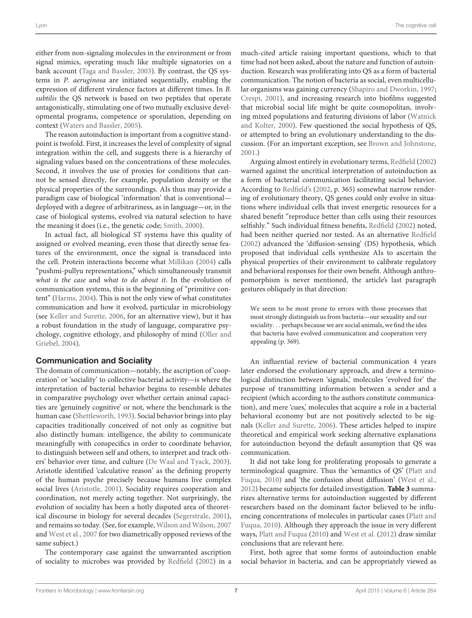either from non-signaling molecules in the environment or from signal mimics, operating much like multiple signatories on a bank account [\(Taga and Bassler, 2003\)](#page-16-22). By contrast, the QS systems in *P. aeruginosa* are initiated sequentially, enabling the expression of different virulence factors at different times. In *B. subtilis* the QS network is based on two peptides that operate antagonistically, stimulating one of two mutually exclusive developmental programs, competence or sporulation, depending on context [\(Waters and Bassler, 2005](#page-17-10)).

The reason autoinduction is important from a cognitive standpoint is twofold. First, it increases the level of complexity of signal integration within the cell, and suggests there is a hierarchy of signaling values based on the concentrations of these molecules. Second, it involves the use of proxies for conditions that cannot be sensed directly, for example, population density or the physical properties of the surroundings. AIs thus may provide a paradigm case of biological 'information' that is conventional deployed with a degree of arbitrariness, as in language—or, in the case of biological systems, evolved via natural selection to have the meaning it does (i.e., the genetic code; [Smith](#page-16-23), [2000\)](#page-16-23).

In actual fact, all biological ST systems have this quality of assigned or evolved meaning, even those that directly sense features of the environment, once the signal is transduced into the cell. Protein interactions become what [Millikan](#page-15-27) [\(2004](#page-15-27)) calls "pushmi-pullyu representations," which simultaneously transmit *what is the case* and *what to do about it*. In the evolution of communication systems, this is the beginning of "primitive content" [\(Harms](#page-14-19), [2004\)](#page-14-19). This is not the only view of what constitutes communication and how it evolved, particular in microbiology (see [Keller and Surette](#page-15-28), [2006,](#page-15-28) for an alternative view), but it has a robust foundation in the study of language, comparative psycholog[y, cognitive ethology, and philosophy of mind \(](#page-16-24)Oller and Griebel, [2004\)](#page-16-24).

#### Communication and Sociality

The domain of communication—notably, the ascription of 'cooperation' or 'sociality' to collective bacterial activity—is where the interpretation of bacterial behavior begins to resemble debates in comparative psychology over whether certain animal capacities are 'genuinely cognitive' or not, where the benchmark is the human case [\(Shettleworth, 1993](#page-16-8)). Social behavior brings into play capacities traditionally conceived of not only as cognitive but also distinctly human: intelligence, the ability to communicate meaningfully with conspecifics in order to coordinate behavior, to distinguish between self and others, to interpret and track others' behavior over time, and culture [\(De Waal and Tyack](#page-14-20), [2003](#page-14-20)). Aristotle identified 'calculative reason' as the defining property of the human psyche precisely because humans live complex social lives [\(Aristotle](#page-13-11), [2001](#page-13-11)). Sociality requires cooperation and coordination, not merely acting together. Not surprisingly, the evolution of sociality has been a hotly disputed area of theoretical discourse in biology for several decades [\(Segerstrale](#page-16-25), [2001](#page-16-25)), and remains so today. (See, for example, [Wilson and Wilson, 2007](#page-17-11) and [West et al., 2007](#page-17-12) for two diametrically opposed reviews of the same subject.)

The contemporary case against the unwarranted ascription of sociality to microbes was provided by [Redfield](#page-16-26) [\(2002\)](#page-16-26) in a much-cited article raising important questions, which to that time had not been asked, about the nature and function of autoinduction. Research was proliferating into QS as a form of bacterial communication. The notion of bacteria as social, even multicellular organisms was gaining currency [\(Shapiro and Dworkin, 1997](#page-16-27); [Crespi, 2001](#page-14-21)), and increasing research into biofilms suggested that microbial social life might be quite cosmopolitan, involving mixed [populations and featuring divisions of labor \(](#page-17-13)Watnick and Kolter, [2000](#page-17-13)). Few questioned the social hypothesis of QS, or attempted to bring an evolutionary understanding to the discussion. (For an important exception, see [Brown and Johnstone](#page-14-22), [2001](#page-14-22).)

Arguing almost entirely in evolutionary terms, [Redfield](#page-16-26) [\(2002](#page-16-26)) warned against the uncritical interpretation of autoinduction as a form of bacterial communication facilitating social behavior. According to [Redfield](#page-16-26)'s [\(2002,](#page-16-26) p. 365) somewhat narrow rendering of evolutionary theory, QS genes could only evolve in situations where individual cells that invest energetic resources for a shared benefit "reproduce better than cells using their resources selfishly." Such individual fitness benefits, [Redfield](#page-16-26) [\(2002\)](#page-16-26) noted, had been neither queried nor tested. As an alternative [Redfield](#page-16-26) [\(2002](#page-16-26)) advanced the 'diffusion-sensing' (DS) hypothesis, which proposed that individual cells synthesize AIs to ascertain the physical properties of their environment to calibrate regulatory and behavioral responses for their own benefit. Although anthropomorphism is never mentioned, the article's last paragraph gestures obliquely in that direction:

We seem to be most prone to errors with those processes that most strongly distinguish us from bacteria—our sexuality and our sociality*...* perhaps because we are social animals, we find the idea that bacteria have evolved communication and cooperation very appealing (p. 369).

An influential review of bacterial communication 4 years later endorsed the evolutionary approach, and drew a terminological distinction between 'signals,' molecules 'evolved for' the purpose of transmitting information between a sender and a recipient (which according to the authors constitute communication), and mere 'cues,' molecules that acquire a role in a bacterial behavioral economy but are not positively selected to be signals [\(Keller and Surette](#page-15-28), [2006\)](#page-15-28). These articles helped to inspire theoretical and empirical work seeking alternative explanations for autoinduction beyond the default assumption that QS was communication.

It did not take long for proliferating proposals to generate a termi[nological quagmire. Thus the 'semantics of QS' \(](#page-16-28)Platt and Fuqua, [2010](#page-16-28)) and 'the confusion about diffusion' [\(West et al.](#page-17-14), [2012](#page-17-14)) became subjects for detailed investigation. **[Table 3](#page-7-0)** summarizes alternative terms for autoinduction suggested by different researchers based on the dominant factor believed to be influencin[g](#page-16-28) [concentrations](#page-16-28) [of](#page-16-28) [molecules](#page-16-28) [in](#page-16-28) [particular](#page-16-28) [cases](#page-16-28) [\(](#page-16-28)Platt and Fuqua, [2010\)](#page-16-28). Although they approach the issue in very different ways, [Platt and Fuqua](#page-16-28) [\(2010](#page-16-28)) and [West et al.](#page-17-14) [\(2012](#page-17-14)) draw similar conclusions that are relevant here.

First, both agree that some forms of autoinduction enable social behavior in bacteria, and can be appropriately viewed as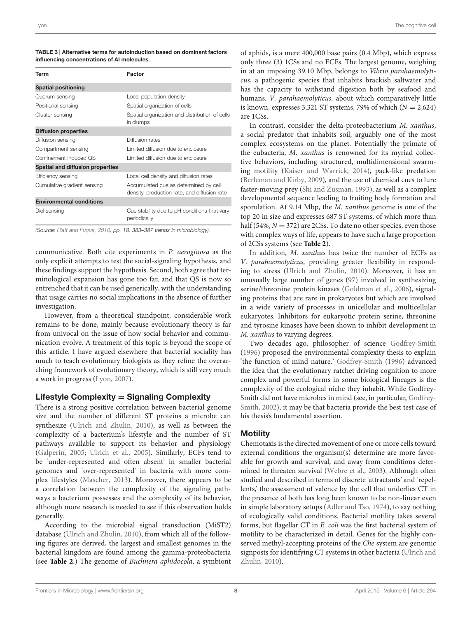<span id="page-7-0"></span>

| TABLE 3   Alternative terms for autoinduction based on dominant factors |
|-------------------------------------------------------------------------|
| influencing concentrations of AI molecules.                             |

| Factor                                                                                |  |  |  |  |
|---------------------------------------------------------------------------------------|--|--|--|--|
|                                                                                       |  |  |  |  |
| Local population density                                                              |  |  |  |  |
| Spatial organization of cells                                                         |  |  |  |  |
| Spatial organization and distribution of cells<br>in clumps                           |  |  |  |  |
|                                                                                       |  |  |  |  |
| Diffusion rates                                                                       |  |  |  |  |
| Limited diffusion due to enclosure                                                    |  |  |  |  |
| Limited diffusion due to enclosure                                                    |  |  |  |  |
|                                                                                       |  |  |  |  |
| Local cell density and diffusion rates                                                |  |  |  |  |
| Accumulated cue as determined by cell<br>density, production rate, and diffusion rate |  |  |  |  |
|                                                                                       |  |  |  |  |
| Cue stability due to pH conditions that vary<br>periodically                          |  |  |  |  |
|                                                                                       |  |  |  |  |

*(Source: [Platt and Fuqua, 2010,](#page-16-28) pp. 18, 383–387 trends in microbiology).*

communicative. Both cite experiments in *P. aeroginosa* as the only explicit attempts to test the social-signaling hypothesis, and these findings support the hypothesis. Second, both agree that terminological expansion has gone too far, and that QS is now so entrenched that it can be used generically, with the understanding that usage carries no social implications in the absence of further investigation.

However, from a theoretical standpoint, considerable work remains to be done, mainly because evolutionary theory is far from univocal on the issue of how social behavior and communication evolve. A treatment of this topic is beyond the scope of this article. I have argued elsewhere that bacterial sociality has much to teach evolutionary biologists as they refine the overarching framework of evolutionary theory, which is still very much a work in progress [\(Lyon, 2007\)](#page-15-29).

# Lifestyle Complexity **=** Signaling Complexity

There is a strong positive correlation between bacterial genome size and the number of different ST proteins a microbe can synthesize [\(Ulrich and Zhulin](#page-16-5), [2010\)](#page-16-5), as well as between the complexity of a bacterium's lifestyle and the number of ST pathways available to support its behavior and physiology [\(Galperin, 2005;](#page-14-2) [Ulrich et al.](#page-16-16), [2005\)](#page-16-16). Similarly, ECFs tend to be 'under-represented and often absent' in smaller bacterial genomes and 'over-represented' in bacteria with more complex lifestyles [\(Mascher](#page-15-19), [2013](#page-15-19)). Moreover, there appears to be a correlation between the complexity of the signaling pathways a bacterium possesses and the complexity of its behavior, although more research is needed to see if this observation holds generally.

According to the microbial signal transduction (MiST2) database [\(Ulrich and Zhulin](#page-16-5), [2010\)](#page-16-5), from which all of the following figures are derived, the largest and smallest genomes in the bacterial kingdom are found among the gamma-proteobacteria (see **[Table 2](#page-5-0)**.) The genome of *Buchnera aphidocola*, a symbiont

of aphids, is a mere 400,000 base pairs (0.4 Mbp), which express only three (3) 1CSs and no ECFs. The largest genome, weighing in at an imposing 39.10 Mbp, belongs to *Vibrio parahaemolyticus*, a pathogenic species that inhabits brackish saltwater and has the capacity to withstand digestion both by seafood and humans. *V. parahaemolyticus,* about which comparatively little is known, expresses 3,321 ST systems, 79% of which (*N* = 2,624) are 1CSs.

In contrast, consider the delta-proteobacterium *M. xanthus*, a social predator that inhabits soil, arguably one of the most complex ecosystems on the planet. Potentially the primate of the eubacteria, *M. xanthus* is renowned for its myriad collective behaviors, including structured, multidimensional swarming motility [\(Kaiser and Warrick](#page-15-30), [2014](#page-15-30)), pack-like predation [\(Berleman and Kirby, 2009\)](#page-14-23), and the use of chemical cues to lure faster-moving prey [\(Shi and Zusman, 1993](#page-16-29)), as well as a complex developmental sequence leading to fruiting body formation and sporulation. At 9.14 Mbp, the *M. xanthus* genome is one of the top 20 in size and expresses 687 ST systems, of which more than half (54%,  $N = 372$ ) are 2CSs. To date no other species, even those with complex ways of life, appears to have such a large proportion of 2CSs systems (see **[Table 2](#page-5-0)**).

In addition, *M. xanthus* has twice the number of ECFs as *V. parahaemolyticus,* providing greater flexibility in responding to stress [\(Ulrich and Zhulin](#page-16-5), [2010\)](#page-16-5). Moreover, it has an unusually large number of genes (97) involved in synthesizing serine/threonine protein kinases [\(Goldman et al., 2006](#page-14-24)), signaling proteins that are rare in prokaryotes but which are involved in a wide variety of processes in unicellular and multicellular eukaryotes. Inhibitors for eukaryotic protein serine, threonine and tyrosine kinases have been shown to inhibit development in *M. xanthus* to varying degrees.

Two decades ago, philosopher of science [Godfrey-Smith](#page-14-12) [\(1996\)](#page-14-12) proposed the environmental complexity thesis to explain 'the function of mind nature.' [Godfrey-Smith](#page-14-12) [\(1996](#page-14-12)) advanced the idea that the evolutionary ratchet driving cognition to more complex and powerful forms in some biological lineages is the complexity of the ecological niche they inhabit. While Godfrey-Smit[h](#page-14-25) [did](#page-14-25) [not](#page-14-25) [have](#page-14-25) [microbes](#page-14-25) [in](#page-14-25) [mind](#page-14-25) [\(see,](#page-14-25) [in](#page-14-25) [particular,](#page-14-25) Godfrey-Smith, [2002](#page-14-25)), it may be that bacteria provide the best test case of his thesis's fundamental assertion.

# **Motility**

Chemotaxis is the directed movement of one or more cells toward external conditions the organism(s) determine are more favorable for growth and survival, and away from conditions determined to threaten survival [\(Webre et al., 2003\)](#page-17-2). Although often studied and described in terms of discrete 'attractants' and 'repellents,' the assessment of valence by the cell that underlies CT in the presence of both has long been known to be non-linear even in simple laboratory setups [\(Adler and Tso, 1974](#page-13-5)), to say nothing of ecologically valid conditions. Bacterial motility takes several forms, but flagellar CT in *E. coli* was the first bacterial system of motility to be characterized in detail. Genes for the highly conserved methyl-accepting proteins of the *Che* system are genomic signpo[sts for identifying CT systems in other bacteria \(](#page-16-5)Ulrich and Zhulin, [2010](#page-16-5)).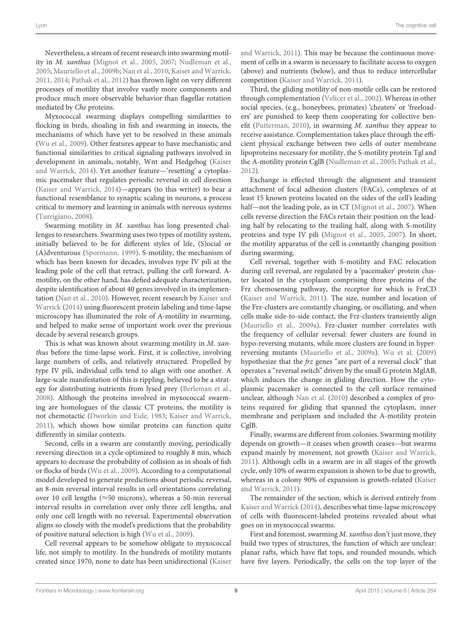Nevertheless, a stream of recent research into swarming motility in *M. xanthus* [\(Mignot et al.](#page-15-31), [2005](#page-15-31), [2007](#page-15-32); [Nudleman et al.,](#page-16-30) [2005](#page-16-30); [Mauriello et al., 2009b;](#page-15-33) [Nan et al.](#page-16-31), [2010](#page-16-31); [Kaiser and Warrick,](#page-15-34) [2011](#page-15-34), [2014;](#page-15-30) [Pathak et al.](#page-16-32), [2012\)](#page-16-32) has thrown light on very different processes of motility that involve vastly more components and produce much more observable behavior than flagellar rotation mediated by *Che* proteins.

Myxococcal swarming displays compelling similarities to flocking in birds, shoaling in fish and swarming in insects, the mechanisms of which have yet to be resolved in these animals [\(Wu et al.](#page-17-15), [2009\)](#page-17-15). Other features appear to have mechanistic and functional similarities to critical signaling pathways involved in developmen[t](#page-15-30) [in](#page-15-30) [animals,](#page-15-30) [notably,](#page-15-30) [Wnt](#page-15-30) [and](#page-15-30) [Hedgehog](#page-15-30) [\(](#page-15-30)Kaiser and Warrick, [2014\)](#page-15-30). Yet another feature—'resetting' a cytoplasmic pacemaker that regulates periodic reversal in cell direction [\(Kaiser and Warrick, 2014\)](#page-15-30)—appears (to this writer) to bear a functional resemblance to synaptic scaling in neurons, a process critical to memory and learning in animals with nervous systems [\(Turrigiano, 2008\)](#page-16-33).

Swarming motility in *M. xanthus* has long presented challenges to researchers. Swarming uses two types of motility system, initially believed to be for different styles of life, (S)ocial or (A)dventurous [\(Spormann, 1999](#page-16-34)). S-motility, the mechanism of which has been known for decades, involves type IV pili at the leading pole of the cell that retract, pulling the cell forward. Amotility, on the other hand, has defied adequate characterization, despite identification of about 40 genes involved in its implementation [\(Nan et al.](#page-16-31)[,](#page-15-30) [2010](#page-16-31)[\).](#page-15-30) [However,](#page-15-30) [recent](#page-15-30) [research](#page-15-30) [by](#page-15-30) Kaiser and Warrick [\(2014\)](#page-15-30) using fluorescent protein labeling and time-lapse microscopy has illuminated the role of A-motility in swarming, and helped to make sense of important work over the previous decade by several research groups.

This is what was known about swarming motility in *M. xanthus* before the time-lapse work. First, it is collective, involving large numbers of cells, and relatively structured. Propelled by type IV pili, individual cells tend to align with one another. A large-scale manifestation of this is rippling, believed to be a strategy for distributing nutrients from lysed prey [\(Berleman et al.,](#page-14-26) [2008](#page-14-26)). Although the proteins involved in myxococcal swarming are homologues of the classic CT proteins, the motility is not chemotactic [\(Dworkin and Eide](#page-14-27), [1983;](#page-14-27) [Kaiser and Warrick,](#page-15-34) [2011](#page-15-34)), which shows how similar proteins can function quite differently in similar contexts.

Second, cells in a swarm are constantly moving, periodically reversing direction in a cycle optimized to roughly 8 min, which appears to decrease the probability of collision as in shoals of fish or flocks of birds [\(Wu et al.](#page-17-15), [2009\)](#page-17-15). According to a computational model developed to generate predictions about periodic reversal, an 8-min reversal interval results in cell orientations correlating over 10 cell lengths (≈50 microns), whereas a 50-min reversal interval results in correlation over only three cell lengths, and only one cell length with no reversal. Experimental observation aligns so closely with the model's predictions that the probability of positive natural selection is high [\(Wu et al.](#page-17-15), [2009\)](#page-17-15).

Cell reversal appears to be somehow obligate to myxococcal life, not simply to motility. In the hundreds of motility mutants created since 1970, none to date has been unidirectional (Kaiser

and Warrick, [2011\)](#page-15-34). This may be because the continuous movement of cells in a swarm is necessary to facilitate access to oxygen (above) and nutrients (below), and thus to reduce intercellular competition [\(Kaiser and Warrick](#page-15-34), [2011\)](#page-15-34).

Third, the gliding motility of non-motile cells can be restored through complementation [\(Velicer et al., 2002](#page-17-16)). Whereas in other social species, (e.g., honeybees, primates) 'cheaters' or 'freeloaders' are punished to keep them cooperating for collective benefit [\(Putterman](#page-16-35), [2010\)](#page-16-35), in swarming *M. xanthus* they appear to receive assistance. Complementation takes place through the efficient physical exchange between two cells of outer membrane lipoproteins necessary for motility, the S-motility protein Tgl and the A-motility protein CglB [\(Nudleman et al.](#page-16-30), [2005;](#page-16-30) [Pathak et al.](#page-16-32), [2012](#page-16-32)).

Exchange is effected through the alignment and transient attachment of focal adhesion clusters (FACs), complexes of at least 15 known proteins located on the sides of the cell's leading half—not the leading pole, as in CT [\(Mignot et al.](#page-15-32), [2007](#page-15-32)). When cells reverse direction the FACs retain their position on the leading half by relocating to the trailing half, along with S-motility proteins and type IV pili [\(Mignot et al.](#page-15-31), [2005,](#page-15-31) [2007\)](#page-15-32). In short, the motility apparatus of the cell is constantly changing position during swarming.

Cell reversal, together with S-motility and FAC relocation during cell reversal, are regulated by a 'pacemaker' protein cluster located in the cytoplasm comprising three proteins of the Frz chemosensing pathway, the receptor for which is FrzCD [\(Kaiser and Warrick](#page-15-34), [2011\)](#page-15-34). The size, number and location of the Frz-clusters are constantly changing, or oscillating, and when cells make side-to-side contact, the Frz-clusters transiently align [\(Mauriello et al.](#page-15-35), [2009a\)](#page-15-35). Frz-cluster number correlates with the frequency of cellular reversal: fewer clusters are found in hypo-reversing mutants, while more clusters are found in hyperreversing mutants [\(Mauriello et al.](#page-15-35), [2009a](#page-15-35)). [Wu et al.](#page-17-15) [\(2009](#page-17-15)) hypothesize that the *frz* genes "are part of a reversal clock" that operates a "reversal switch" driven by the small G protein MglAB, which induces the change in gliding direction. How the cytoplasmic pacemaker is connected to the cell surface remained unclear, although [Nan et al.](#page-16-31) [\(2010](#page-16-31)) described a complex of proteins required for gliding that spanned the cytoplasm, inner membrane and periplasm and included the A-motility protein CglB.

Finally, swarms are different from colonies. Swarming motility depends on growth—it ceases when growth ceases—but swarms expand mainly by movement, not growth [\(Kaiser and Warrick](#page-15-34), [2011](#page-15-34)). Although cells in a swarm are in all stages of the growth cycle, only 10% of swarm expansion is shown to be due to growth, whereas in [a colony 90% of expansion is growth-related \(](#page-15-34)Kaiser and Warrick, [2011\)](#page-15-34).

The remainder of the section, which is derived entirely from [Kaiser and Warrick](#page-15-30) [\(2014\)](#page-15-30), describes what time-lapse microscopy of cells with fluorescent-labeled proteins revealed about what goes on in myxococcal swarms.

First and foremost, swarming *M. xanthus* don't just move, they build two types of structures, the function of which are unclear: planar rafts, which have flat tops, and rounded mounds, which have five layers. Periodically, the cells on the top layer of the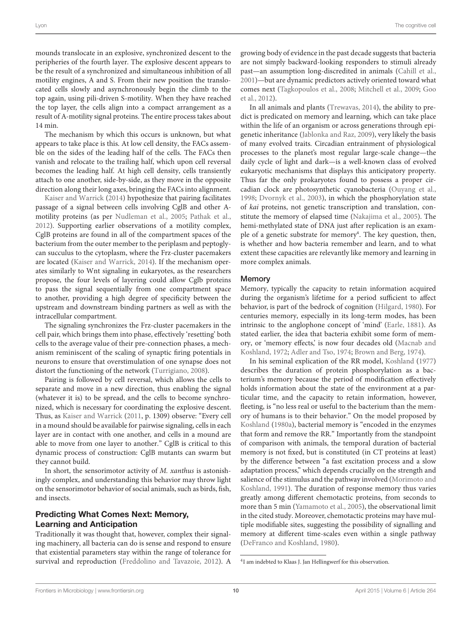mounds translocate in an explosive, synchronized descent to the peripheries of the fourth layer. The explosive descent appears to be the result of a synchronized and simultaneous inhibition of all motility engines, A and S. From their new position the translocated cells slowly and asynchronously begin the climb to the top again, using pili-driven S-motility. When they have reached the top layer, the cells align into a compact arrangement as a result of A-motility signal proteins. The entire process takes about 14 min.

The mechanism by which this occurs is unknown, but what appears to take place is this. At low cell density, the FACs assemble on the sides of the leading half of the cells. The FACs then vanish and relocate to the trailing half, which upon cell reversal becomes the leading half. At high cell density, cells transiently attach to one another, side-by-side, as they move in the opposite [direction](#page-15-30) [along](#page-15-30) [their](#page-15-30) [lo](#page-15-30)ng axes, bringing the FACs into alignment.

Kaiser and Warrick [\(2014\)](#page-15-30) hypothesize that pairing facilitates passage of a signal between cells involving CglB and other Amotility proteins (as per [Nudleman et al., 2005;](#page-16-30) [Pathak et al.](#page-16-32), [2012](#page-16-32)). Supporting earlier observations of a motility complex, CglB proteins are found in all of the compartment spaces of the bacterium from the outer member to the periplasm and peptoglycan succulus to the cytoplasm, where the Frz-cluster pacemakers are located [\(Kaiser and Warrick, 2014](#page-15-30)). If the mechanism operates similarly to Wnt signaling in eukaryotes, as the researchers propose, the four levels of layering could allow Cglb proteins to pass the signal sequentially from one compartment space to another, providing a high degree of specificity between the upstream and downstream binding partners as well as with the intracellular compartment.

The signaling synchronizes the Frz-cluster pacemakers in the cell pair, which brings them into phase, effectively 'resetting' both cells to the average value of their pre-connection phases, a mechanism reminiscent of the scaling of synaptic firing potentials in neurons to ensure that overstimulation of one synapse does not distort the functioning of the network [\(Turrigiano, 2008\)](#page-16-33).

Pairing is followed by cell reversal, which allows the cells to separate and move in a new direction, thus enabling the signal (whatever it is) to be spread, and the cells to become synchronized, which is necessary for coordinating the explosive descent. Thus, as [Kaiser and Warrick](#page-15-34) [\(2011](#page-15-34), p. 1309) observe: "Every cell in a mound should be available for pairwise signaling, cells in each layer are in contact with one another, and cells in a mound are able to move from one layer to another." CglB is critical to this dynamic process of construction: CglB mutants can swarm but they cannot build.

In short, the sensorimotor activity of *M. xanthus* is astonishingly complex, and understanding this behavior may throw light on the sensorimotor behavior of social animals, such as birds, fish, and insects.

# Predicting What Comes Next: Memory, Learning and Anticipation

Traditionally it was thought that, however, complex their signaling machinery, all bacteria can do is sense and respond to ensure that existential parameters stay within the range of tolerance for survival and reproduction [\(Freddolino and Tavazoie, 2012\)](#page-14-13). A

growing body of evidence in the past decade suggests that bacteria are not simply backward-looking responders to stimuli already past—an assumption long-discredited in animals [\(Cahill et al.](#page-14-28), [2001\)](#page-14-28)—but are dynamic predictors actively oriented toward what com[es next](#page-14-29) [\(Tagkopoulos et al., 2008](#page-16-18)[;](#page-14-29) [Mitchell et al.](#page-16-17), [2009;](#page-16-17) Goo et al., [2012\)](#page-14-29).

In all animals and plants [\(Trewavas](#page-16-36), [2014\)](#page-16-36), the ability to predict is predicated on memory and learning, which can take place within the life of an organism or across generations through epigenetic inheritance [\(Jablonka and Raz, 2009](#page-15-36)), very likely the basis of many evolved traits. Circadian entrainment of physiological processes to the planet's most regular large-scale change—the daily cycle of light and dark—is a well-known class of evolved eukaryotic mechanisms that displays this anticipatory property. Thus far the only prokaryotes found to possess a proper circadian clock are photosynthetic cyanobacteria [\(Ouyang et al.](#page-16-37), [1998;](#page-16-37) [Dvornyk et al., 2003](#page-14-30)), in which the phosphorylation state of *kai* proteins, not genetic transcription and translation, constitute the memory of elapsed time [\(Nakajima et al., 2005\)](#page-16-38). The hemi-methylated state of DNA just after replication is an example of a genetic substrate for memory<sup>4</sup>. The key question, then, is whether and how bacteria remember and learn, and to what extent these capacities are relevantly like memory and learning in more complex animals.

#### **Memory**

Memory, typically the capacity to retain information acquired during the organism's lifetime for a period sufficient to affect behavior, is part of the bedrock of cognition [\(Hilgard](#page-15-37), [1980\)](#page-15-37). For centuries memory, especially in its long-term modes, has been intrinsic to the anglophone concept of 'mind' [\(Earle, 1881\)](#page-14-31). As stated earlier, the idea that bacteria exhibit some form of memory, or '[memory effects,' is now four decades old \(](#page-15-10)Macnab and Koshland, [1972;](#page-15-10) [Adler and Tso](#page-13-5), [1974](#page-13-5); [Brown and Berg](#page-14-32), [1974\)](#page-14-32).

In his seminal explication of the RR model, [Koshland](#page-15-16) [\(1977\)](#page-15-16) describes the duration of protein phosphorylation as a bacterium's memory because the period of modification effectively holds information about the state of the environment at a particular time, and the capacity to retain information, however, fleeting, is "no less real or useful to the bacterium than the memory of humans is to their behavior." On the model proposed by [Koshland](#page-15-38) [\(1980a](#page-15-38)), bacterial memory is "encoded in the enzymes that form and remove the RR." Importantly from the standpoint of comparison with animals, the temporal duration of bacterial memory is not fixed, but is constituted (in CT proteins at least) by the difference between "a fast excitation process and a slow adaptation process," which depends crucially on the strength and salience [of the stimulus and the pathway involved \(](#page-16-39)Morimoto and Koshland, [1991](#page-16-39)). The duration of response memory thus varies greatly among different chemotactic proteins, from seconds to more than 5 min [\(Yamamoto et al.](#page-17-17), [2005\)](#page-17-17), the observational limit in the cited study. Moreover, chemotactic proteins may have multiple modifiable sites, suggesting the possibility of signalling and memory at different time-scales even within a single pathway [\(DeFranco and Koshland, 1980](#page-14-33)).

<span id="page-9-0"></span><sup>4</sup>I am indebted to Klaas J. Jan Hellingwerf for this observation.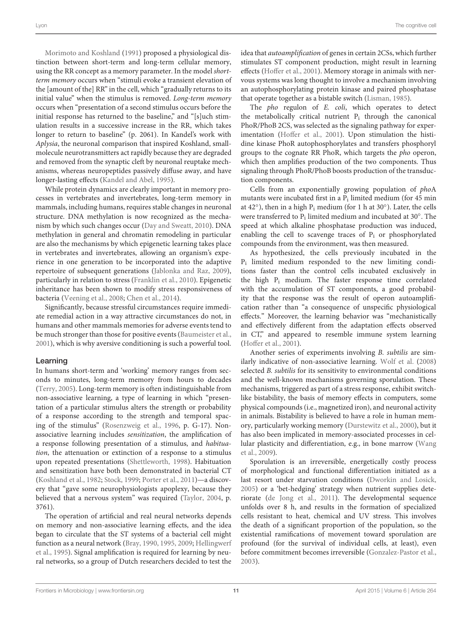[Morimoto and Koshland](#page-16-39) [\(1991](#page-16-39)) proposed a physiological distinction between short-term and long-term cellular memory, using the RR concept as a memory parameter. In the model *shortterm memory* occurs when "stimuli evoke a transient elevation of the [amount of the] RR" in the cell, which "gradually returns to its initial value" when the stimulus is removed. *Long-term memory* occurs when "presentation of a second stimulus occurs before the initial response has returned to the baseline," and "[s]uch stimulation results in a successive increase in the RR, which takes longer to return to baseline" (p. 2061). In Kandel's work with *Aplysia*, the neuronal comparison that inspired Koshland, smallmolecule neurotransmitters act rapidly because they are degraded and removed from the synaptic cleft by neuronal reuptake mechanisms, whereas neuropeptides passively diffuse away, and have longer-lasting effects [\(Kandel and Abel, 1995](#page-15-39)).

While protein dynamics are clearly important in memory processes in vertebrates and invertebrates, long-term memory in mammals, including humans, requires stable changes in neuronal structure. DNA methylation is now recognized as the mechanism by which such changes occur [\(Day and Sweatt](#page-14-34), [2010](#page-14-34)). DNA methylation in general and chromatin remodeling in particular are also the mechanisms by which epigenetic learning takes place in vertebrates and invertebrates, allowing an organism's experience in one generation to be incorporated into the adaptive repertoire of subsequent generations [\(Jablonka and Raz, 2009](#page-15-36)), particularly in relation to stress [\(Franklin et al., 2010](#page-14-35)). Epigenetic inheritance has been shown to modify stress responsiveness of bacteria [\(Veening et al., 2008;](#page-16-40) [Chen et al., 2014](#page-14-36)).

Significantly, because stressful circumstances require immediate remedial action in a way attractive circumstances do not, in humans and other mammals memories for adverse events tend to be much stronger than those for positive events [\(Baumeister et al.,](#page-13-12) [2001](#page-13-12)), which is why aversive conditioning is such a powerful tool.

## Learning

In humans short-term and 'working' memory ranges from seconds to minutes, long-term memory from hours to decades [\(Terry, 2005\)](#page-16-41). Long-term memory is often indistinguishable from non-associative learning, a type of learning in which "presentation of a particular stimulus alters the strength or probability of a response according to the strength and temporal spacing of the stimulus" [\(Rosenzweig et al.](#page-16-42), [1996](#page-16-42), p. G-17). Nonassociative learning includes *sensitization*, the amplification of a response following presentation of a stimulus, and *habituation*, the attenuation or extinction of a response to a stimulus upon repeated presentations [\(Shettleworth](#page-16-12), [1998\)](#page-16-12). Habituation and sensitization have both been demonstrated in bacterial CT [\(Koshland et al., 1982](#page-15-40); [Stock, 1999](#page-16-43); [Porter et al.](#page-16-44), [2011\)](#page-16-44)—a discovery that "gave some neurophysiologists apoplexy, because they believed that a nervous system" was required [\(Taylor](#page-16-45), [2004](#page-16-45), p. 3761).

The operation of artificial and real neural networks depends on memory and non-associative learning effects, and the idea began to circulate that the ST systems of a bacterial cell might func[tion as a neural network](#page-14-15) [\(Bray](#page-14-37)[,](#page-14-15) [1990](#page-14-37)[,](#page-14-15) [1995](#page-14-38)[,](#page-14-15) [2009;](#page-14-0) Hellingwerf et al., [1995\)](#page-14-15). Signal amplification is required for learning by neural networks, so a group of Dutch researchers decided to test the idea that *autoamplification* of genes in certain 2CSs, which further stimulates ST component production, might result in learning effects [\(Hoffer et al.](#page-15-41), [2001\)](#page-15-41). Memory storage in animals with nervous systems was long thought to involve a mechanism involving an autophosphorylating protein kinase and paired phosphatase that operate together as a bistable switch [\(Lisman](#page-15-42), [1985\)](#page-15-42).

The *pho* regulon of *E. coli*, which operates to detect the metabolically critical nutrient  $P_i$  through the canonical PhoR/PhoB 2CS, was selected as the signaling pathway for experimentation [\(Hoffer et al., 2001\)](#page-15-41). Upon stimulation the histidine kinase PhoR autophosphorylates and transfers phosphoryl groups to the cognate RR PhoR, which targets the *pho* operon, which then amplifies production of the two components. Thus signaling through PhoR/PhoB boosts production of the transduction components.

Cells from an exponentially growing population of *pho*A mutants were incubated first in a P<sub>i</sub> limited medium (for 45 min at 42 $\degree$ ), then in a high P<sub>i</sub> medium (for 1 h at 30 $\degree$ ). Later, the cells were transferred to  $P_i$  limited medium and incubated at 30 $^{\circ}$ . The speed at which alkaline phosphatase production was induced, enabling the cell to scavenge traces of  $P_i$  or phosphorylated compounds from the environment, was then measured.

As hypothesized, the cells previously incubated in the Pi limited medium responded to the new limiting conditions faster than the control cells incubated exclusively in the high Pi medium. The faster response time correlated with the accumulation of ST components, a good probability that the response was the result of operon autoamplification rather than "a consequence of unspecific physiological effects." Moreover, the learning behavior was "mechanistically and effectively different from the adaptation effects observed in CT," and appeared to resemble immune system learning [\(Hoffer et al.](#page-15-41), [2001\)](#page-15-41).

Another series of experiments involving *B. subtilis* are similarly indicative of non-associative learning. [Wolf et al.](#page-17-18) [\(2008](#page-17-18)) selected *B. subtilis* for its sensitivity to environmental conditions and the well-known mechanisms governing sporulation. These mechanisms, triggered as part of a stress response, exhibit switchlike bistability, the basis of memory effects in computers, some physical compounds (i.e., magnetized iron), and neuronal activity in animals. Bistability is believed to have a role in human memory, particularly working memory [\(Durstewitz et al.](#page-14-39), [2000\)](#page-14-39), but it has also been implicated in memory-associated processes in cellular [plasticity and differentiation, e.g., in bone marrow \(](#page-17-19)Wang et al., [2009](#page-17-19)).

Sporulation is an irreversible, energetically costly process of morphological and functional differentiation initiated as a last resort under starvation conditions [\(Dworkin and Losick](#page-14-40), [2005](#page-14-40)) or a 'bet-hedging' strategy when nutrient supplies deteriorate [\(de Jong et al., 2011\)](#page-14-41). The developmental sequence unfolds over 8 h, and results in the formation of specialized cells resistant to heat, chemical and UV stress. This involves the death of a significant proportion of the population, so the existential ramifications of movement toward sporulation are profound (for the survival of individual cells, at least), even before commitment becomes irreversible [\(Gonzalez-Pastor et al.](#page-14-42), [2003](#page-14-42)).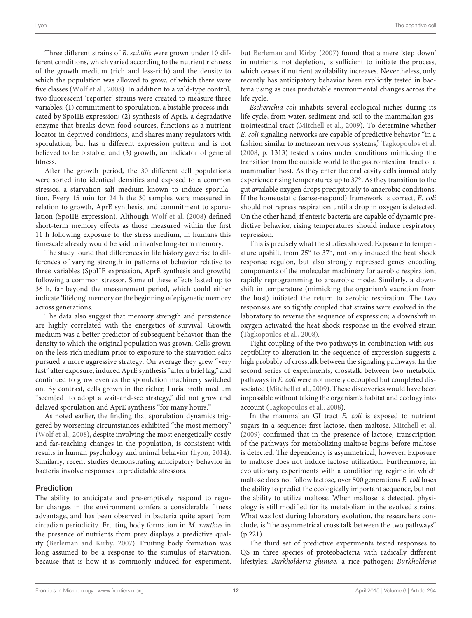Three different strains of *B. subtilis* were grown under 10 different conditions, which varied according to the nutrient richness of the growth medium (rich and less-rich) and the density to which the population was allowed to grow, of which there were five classes [\(Wolf et al., 2008\)](#page-17-18). In addition to a wild-type control, two fluorescent 'reporter' strains were created to measure three variables: (1) commitment to sporulation, a bistable process indicated by SpoIIE expression; (2) synthesis of AprE, a degradative enzyme that breaks down food sources, functions as a nutrient locator in deprived conditions, and shares many regulators with sporulation, but has a different expression pattern and is not believed to be bistable; and (3) growth, an indicator of general fitness.

After the growth period, the 30 different cell populations were sorted into identical densities and exposed to a common stressor, a starvation salt medium known to induce sporulation. Every 15 min for 24 h the 30 samples were measured in relation to growth, AprE synthesis, and commitment to sporulation (SpoIIE expression). Although [Wolf et al.](#page-17-18) [\(2008\)](#page-17-18) defined short-term memory effects as those measured within the first 11 h following exposure to the stress medium, in humans this timescale already would be said to involve long-term memory.

The study found that differences in life history gave rise to differences of varying strength in patterns of behavior relative to three variables (SpoIIE expression, AprE synthesis and growth) following a common stressor. Some of these effects lasted up to 36 h, far beyond the measurement period, which could either indicate 'lifelong' memory or the beginning of epigenetic memory across generations.

The data also suggest that memory strength and persistence are highly correlated with the energetics of survival. Growth medium was a better predictor of subsequent behavior than the density to which the original population was grown. Cells grown on the less-rich medium prior to exposure to the starvation salts pursued a more aggressive strategy. On average they grew "very fast" after exposure, induced AprE synthesis "after a brief lag," and continued to grow even as the sporulation machinery switched on. By contrast, cells grown in the richer, Luria broth medium "seem[ed] to adopt a wait-and-see strategy," did not grow and delayed sporulation and AprE synthesis "for many hours."

As noted earlier, the finding that sporulation dynamics triggered by worsening circumstances exhibited "the most memory" [\(Wolf et al.](#page-17-18), [2008\)](#page-17-18), despite involving the most energetically costly and far-reaching changes in the population, is consistent with results in human psychology and animal behavior [\(Lyon, 2014](#page-15-13)). Similarly, recent studies demonstrating anticipatory behavior in bacteria involve responses to predictable stressors.

## Prediction

The ability to anticipate and pre-emptively respond to regular changes in the environment confers a considerable fitness advantage, and has been observed in bacteria quite apart from circadian periodicity. Fruiting body formation in *M. xanthus* in the presence of nutrients from prey displays a predictive quality [\(Berleman and Kirby](#page-14-43), [2007](#page-14-43)). Fruiting body formation was long assumed to be a response to the stimulus of starvation, because that is how it is commonly induced for experiment,

but [Berleman and Kirby](#page-14-43) [\(2007](#page-14-43)) found that a mere 'step down' in nutrients, not depletion, is sufficient to initiate the process, which ceases if nutrient availability increases. Nevertheless, only recently has anticipatory behavior been explicitly tested in bacteria using as cues predictable environmental changes across the life cycle.

*Escherichia coli* inhabits several ecological niches during its life cycle, from water, sediment and soil to the mammalian gastrointestinal tract [\(Mitchell et al., 2009](#page-16-17)). To determine whether *E. coli* signaling networks are capable of predictive behavior "in a fashion similar to metazoan nervous systems," [Tagkopoulos et al.](#page-16-18) [\(2008,](#page-16-18) p. 1313) tested strains under conditions mimicking the transition from the outside world to the gastrointestinal tract of a mammalian host. As they enter the oral cavity cells immediately experience rising temperatures up to 37◦. As they transition to the gut available oxygen drops precipitously to anaerobic conditions. If the homeostatic (sense-respond) framework is correct, *E. coli* should not repress respiration until a drop in oxygen is detected. On the other hand, if enteric bacteria are capable of dynamic predictive behavior, rising temperatures should induce respiratory repression.

This is precisely what the studies showed. Exposure to temperature upshift, from 25◦ to 37◦, not only induced the heat shock response regulon, but also strongly repressed genes encoding components of the molecular machinery for aerobic respiration, rapidly reprogramming to anaerobic mode. Similarly, a downshift in temperature (mimicking the organism's excretion from the host) initiated the return to aerobic respiration. The two responses are so tightly coupled that strains were evolved in the laboratory to reverse the sequence of expression; a downshift in oxygen activated the heat shock response in the evolved strain [\(Tagkopoulos et al.](#page-16-18), [2008](#page-16-18)).

Tight coupling of the two pathways in combination with susceptibility to alteration in the sequence of expression suggests a high probably of crosstalk between the signaling pathways. In the second series of experiments, crosstalk between two metabolic pathways in *E. coli* were not merely decoupled but completed dissociated [\(Mitchell et al.](#page-16-17), [2009](#page-16-17)). These discoveries would have been impossible without taking the organism's habitat and ecology into account [\(Tagkopoulos et al., 2008](#page-16-18)).

In the mammalian GI tract *E. coli* is exposed to nutrient sugars in a sequence: first lactose, then maltose. [Mitchell et al.](#page-16-17) [\(2009\)](#page-16-17) confirmed that in the presence of lactose, transcription of the pathways for metabolizing maltose begins before maltose is detected. The dependency is asymmetrical, however. Exposure to maltose does not induce lactose utilization. Furthermore, in evolutionary experiments with a conditioning regime in which maltose does not follow lactose, over 500 generations *E. coli* loses the ability to predict the ecologically important sequence, but not the ability to utilize maltose. When maltose is detected, physiology is still modified for its metabolism in the evolved strains. What was lost during laboratory evolution, the researchers conclude, is "the asymmetrical cross talk between the two pathways" (p.221).

The third set of predictive experiments tested responses to QS in three species of proteobacteria with radically different lifestyles: *Burkholderia glumae,* a rice pathogen; *Burkholderia*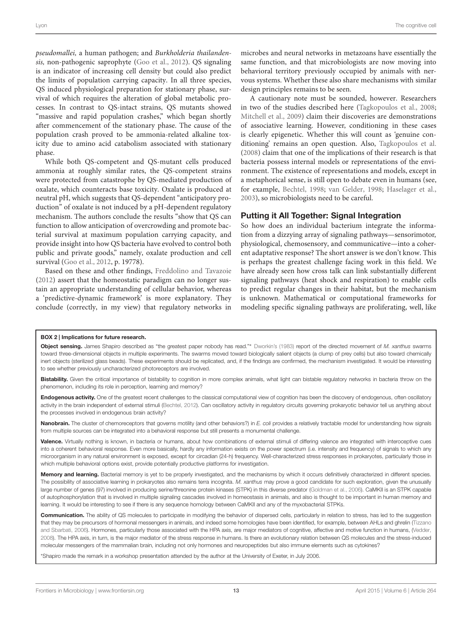*pseudomallei,* a human pathogen; and *Burkholderia thailandensis,* non-pathogenic saprophyte [\(Goo et al., 2012](#page-14-29)). QS signaling is an indicator of increasing cell density but could also predict the limits of population carrying capacity. In all three species, QS induced physiological preparation for stationary phase, survival of which requires the alteration of global metabolic processes. In contrast to QS-intact strains, QS mutants showed "massive and rapid population crashes," which began shortly after commencement of the stationary phase. The cause of the population crash proved to be ammonia-related alkaline toxicity due to amino acid catabolism associated with stationary phase.

While both QS-competent and QS-mutant cells produced ammonia at roughly similar rates, the QS-competent strains were protected from catastrophe by QS-mediated production of oxalate, which counteracts base toxicity. Oxalate is produced at neutral pH, which suggests that QS-dependent "anticipatory production" of oxalate is not induced by a pH-dependent regulatory mechanism. The authors conclude the results "show that QS can function to allow anticipation of overcrowding and promote bacterial survival at maximum population carrying capacity, and provide insight into how QS bacteria have evolved to control both public and private goods," namely, oxalate production and cell survival [\(Goo et al.](#page-14-29), [2012,](#page-14-29) p. 19778).

Based on these and other findings, [Freddolino and Tavazoie](#page-14-13) [\(2012\)](#page-14-13) assert that the homeostatic paradigm can no longer sustain an appropriate understanding of cellular behavior, whereas a 'predictive-dynamic framework' is more explanatory. They conclude (correctly, in my view) that regulatory networks in microbes and neural networks in metazoans have essentially the same function, and that microbiologists are now moving into behavioral territory previously occupied by animals with nervous systems. Whether these also share mechanisms with similar design principles remains to be seen.

A cautionary note must be sounded, however. Researchers in two of the studies described here [\(Tagkopoulos et al., 2008](#page-16-18); [Mitchell et al., 2009](#page-16-17)) claim their discoveries are demonstrations of associative learning. However, conditioning in these cases is clearly epigenetic. Whether this will count as 'genuine conditioning' remains an open question. Also, [Tagkopoulos et al.](#page-16-18) [\(2008](#page-16-18)) claim that one of the implications of their research is that bacteria possess internal models or representations of the environment. The existence of representations and models, except in a metaphorical sense, is still open to debate even in humans (see, for example, [Bechtel, 1998;](#page-13-13) [van Gelder, 1998](#page-16-46); [Haselager et al.](#page-14-44), [2003](#page-14-44)), so microbiologists need to be careful.

## Putting it All Together: Signal Integration

So how does an individual bacterium integrate the information from a dizzying array of signaling pathways—sensorimotor, physiological, chemosensory, and communicative—into a coherent adaptative response? The short answer is we don't know. This is perhaps the greatest challenge facing work in this field. We have already seen how cross talk can link substantially different signaling pathways (heat shock and respiration) to enable cells to predict regular changes in their habitat, but the mechanism is unknown. Mathematical or computational frameworks for modeling specific signaling pathways are proliferating, well, like

#### <span id="page-12-0"></span>BOX 2 | Implications for future research.

Object sensing. James Shapiro described as "the greatest paper nobody has read."∗ [Dworkin](#page-14-14)'s [\(1983](#page-14-14)) report of the directed movement of *M. xanthus* swarms toward three-dimensional objects in multiple experiments. The swarms moved toward biologically salient objects (a clump of prey cells) but also toward chemically inert objects (sterilized glass beads). These experiments should be replicated, and, if the findings are confirmed, the mechanism investigated. It would be interesting to see whether previously uncharacterized photoreceptors are involved.

Bistability. Given the critical importance of bistability to cognition in more complex animals, what light can bistable regulatory networks in bacteria throw on the phenomenon, including its role in perception, learning and memory?

Endogenous activity. One of the greatest recent challenges to the classical computational view of cognition has been the discovery of endogenous, often oscillatory activity in the brain independent of external stimuli [\(Bechtel](#page-13-14), [2012\)](#page-13-14). Can oscillatory activity in regulatory circuits governing prokaryotic behavior tell us anything about the processes involved in endogenous brain activity?

Nanobrain. The cluster of chemoreceptors that governs motility (and other behaviors?) in *E. coli* provides a relatively tractable model for understanding how signals from multiple sources can be integrated into a behavioral response but still presents a monumental challenge.

Valence. Virtually nothing is known, in bacteria or humans, about how combinations of external stimuli of differing valence are integrated with interoceptive cues into a coherent behavioral response. Even more basically, hardly any information exists on the power spectrum (i.e. intensity and frequency) of signals to which any microorganism in any natural environment is exposed, except for circadian (24-h) frequency. Well-characterized stress responses in prokaryotes, particularly those in which multiple behavioral options exist, provide potentially productive platforms for investigation.

Memory and learning. Bacterial memory is yet to be properly investigated, and the mechanisms by which it occurs definitively characterized in different species. The possibility of associative learning in prokaryotes also remains terra incognita. *M. xanthus* may prove a good candidate for such exploration, given the unusually large number of genes (97) involved in producing serine/threonine protein kinases (STPK) in this diverse predator [\(Goldman et al.](#page-14-24), [2006](#page-14-24)). CaMKII is an STPK capable of autophosphorylation that is involved in multiple signaling cascades involved in homeostasis in animals, and also is thought to be important in human memory and learning. It would be interesting to see if there is any sequence homology between CaMKII and any of the myxobacterial STPKs.

Communication. The ability of QS molecules to participate in modifying the behavior of dispersed cells, particularly in relation to stress, has led to the suggestion that they ma[y be precursors of hormonal messengers in animals, and indeed some homologies have been identified, for example, between AHLs and ghrelin \(](#page-16-47)Tizzano and Sbarbati, [2006](#page-16-47)). Hormones, particularly those associated with the HPA axis, are major mediators of cognitive, affective and motive function in humans, [\(Vedder](#page-16-14), [2008\)](#page-16-14). The HPA axis, in turn, is the major mediator of the stress response in humans. Is there an evolutionary relation between QS molecules and the stress-induced molecular messengers of the mammalian brain, including not only hormones and neuropeptides but also immune elements such as cytokines?

\*Shapiro made the remark in a workshop presentation attended by the author at the University of Exeter, in July 2006.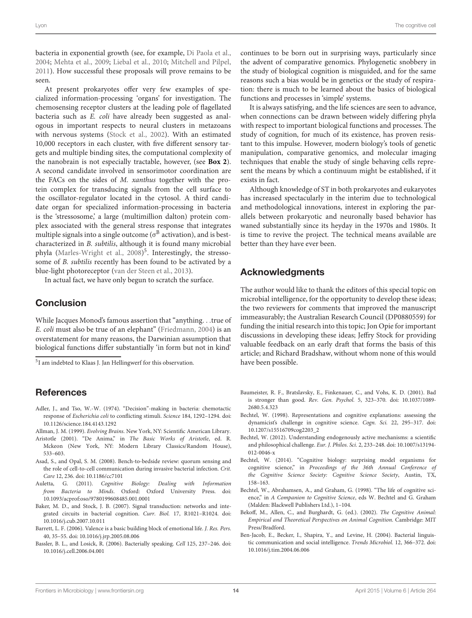bacteria in exponential growth (see, for example, [Di Paola et al.](#page-14-45), [2004](#page-14-45); [Mehta et al.](#page-15-25), [2009;](#page-15-25) [Liebal et al.](#page-15-43), [2010;](#page-15-43) [Mitchell and Pilpel](#page-16-48), [2011](#page-16-48)). How successful these proposals will prove remains to be seen.

At present prokaryotes offer very few examples of specialized information-processing 'organs' for investigation. The chemosensing receptor clusters at the leading pole of flagellated bacteria such as *E. coli* have already been suggested as analogous in important respects to neural clusters in metazoans with nervous systems [\(Stock et al.](#page-16-49), [2002\)](#page-16-49). With an estimated 10,000 receptors in each cluster, with five different sensory targets and multiple binding sites, the computational complexity of the nanobrain is not especially tractable, however, (see **[Box 2](#page-12-0)**). A second candidate involved in sensorimotor coordination are the FACs on the sides of *M. xanthus* together with the protein complex for transducing signals from the cell surface to the oscillator-regulator located in the cytosol. A third candidate organ for specialized information-processing in bacteria is the 'stressosome,' a large (multimillion dalton) protein complex associated with the general stress response that integrates multiple signals into a single outcome ( $\sigma^B$  activation), and is bestcharacterized in *B. subtilis*, although it is found many microbial phyla [\(Marles-Wright et al.](#page-15-44), [2008](#page-15-44)) 5. Interestingly, the stressosome of *B. subtilis* recently has been found to be activated by a blue-light photoreceptor [\(van der Steen et al.](#page-16-50), [2013\)](#page-16-50).

In actual fact, we have only begun to scratch the surface.

# Conclusion

While Jacques Monod's famous assertion that "anything*...*true of *E. coli* must also be true of an elephant" [\(Friedmann](#page-14-46), [2004\)](#page-14-46) is an overstatement for many reasons, the Darwinian assumption that biological functions differ substantially 'in form but not in kind'

5I am indebted to Klaas J. Jan Hellingwerf for this observation.

# References

- <span id="page-13-5"></span>Adler, J., and Tso, W.-W. (1974). "Decision"-making in bacteria: chemotactic response of *Escherichia coli* to conflicting stimuli. *Science* 184, 1292–1294. doi: 10.1126/science.184.4143.1292
- <span id="page-13-0"></span>Allman, J. M. (1999). *Evolving Brains*. New York, NY: Scientific American Library.
- <span id="page-13-11"></span>Aristotle (2001). "De Anima," in *The Basic Works of Aristotle*, ed. R. Mckeon (New York, NY: Modern Library Classics/Random House), 533–603.
- <span id="page-13-10"></span>Asad, S., and Opal, S. M. (2008). Bench-to-bedside review: quorum sensing and the role of cell-to-cell communication during invasive bacterial infection. *Crit. Care* 12, 236. doi: 10.1186/cc7101
- <span id="page-13-1"></span>Auletta, G. (2011). *Cognitive Biology: Dealing with Information from Bacteria to Minds*. Oxford: Oxford University Press. doi: 10.1093/acprof:oso/9780199608485.001.0001
- <span id="page-13-8"></span>Baker, M. D., and Stock, J. B. (2007). Signal transduction: networks and integrated circuits in bacterial cognition. *Curr. Biol.* 17, R1021–R1024. doi: 10.1016/j.cub.2007.10.011
- <span id="page-13-9"></span>Barrett, L. F. (2006). Valence is a basic building block of emotional life. *J. Res. Pers.* 40, 35–55. doi: 10.1016/j.jrp.2005.08.006
- <span id="page-13-7"></span>Bassler, B. L., and Losick, R. (2006). Bacterially speaking. *Cell* 125, 237–246. doi: 10.1016/j.cell.2006.04.001

continues to be born out in surprising ways, particularly since the advent of comparative genomics. Phylogenetic snobbery in the study of biological cognition is misguided, and for the same reasons such a bias would be in genetics or the study of respiration: there is much to be learned about the basics of biological functions and processes in 'simple' systems.

It is always satisfying, and the life sciences are seen to advance, when connections can be drawn between widely differing phyla with respect to important biological functions and processes. The study of cognition, for much of its existence, has proven resistant to this impulse. However, modern biology's tools of genetic manipulation, comparative genomics, and molecular imaging techniques that enable the study of single behaving cells represent the means by which a continuum might be established, if it exists in fact.

Although knowledge of ST in both prokaryotes and eukaryotes has increased spectacularly in the interim due to technological and methodological innovations, interest in exploring the parallels between prokaryotic and neuronally based behavior has waned substantially since its heyday in the 1970s and 1980s. It is time to revive the project. The technical means available are better than they have ever been.

# Acknowledgments

The author would like to thank the editors of this special topic on microbial intelligence, for the opportunity to develop these ideas; the two reviewers for comments that improved the manuscript immeasurably; the Australian Research Council (DP0880559) for funding the initial research into this topic; Jon Opie for important discussions in developing these ideas; Jeffry Stock for providing valuable feedback on an early draft that forms the basis of this article; and Richard Bradshaw, without whom none of this would have been possible.

- <span id="page-13-12"></span>Baumeister, R. F., Bratslavsky, E., Finkenauer, C., and Vohs, K. D. (2001). Bad is stronger than good. *Rev. Gen. Psychol.* 5, 323–370. doi: 10.1037/1089- 2680.5.4.323
- <span id="page-13-13"></span>Bechtel, W. (1998). Representations and cognitive explanations: assessing the dynamicist's challenge in cognitive science. *Cogn. Sci.* 22, 295–317. doi: 10.1207/s15516709cog2203\_2
- <span id="page-13-14"></span>Bechtel, W. (2012). Understanding endogenously active mechanisms: a scientific and philosophical challenge. *Eur. J. Philos. Sci.* 2, 233–248. doi: 10.1007/s13194- 012-0046-x
- <span id="page-13-2"></span>Bechtel, W. (2014). "Cognitive biology: surprising model organisms for cognitive science," in *Proceedings of the 36th Annual Conference of the Cognitive Science Society: Cognitive Science Society*, Austin, TX, 158–163.
- <span id="page-13-3"></span>Bechtel, W., Abrahamsen, A., and Graham, G. (1998). "The life of cognitive science," in *A Companion to Cognitive Science*, eds W. Bechtel and G. Graham (Malden: Blackwell Publishers Ltd.), 1–104.
- <span id="page-13-4"></span>Bekoff, M., Allen, C., and Burghardt, G. (ed.). (2002). *The Cognitive Animal: Empirical and Theoretical Perspectives on Animal Cognition*. Cambridge: MIT Press/Bradford.
- <span id="page-13-6"></span>Ben-Jacob, E., Becker, I., Shapira, Y., and Levine, H. (2004). Bacterial linguistic communication and social intelligence. *Trends Microbiol.* 12, 366–372. doi: 10.1016/j.tim.2004.06.006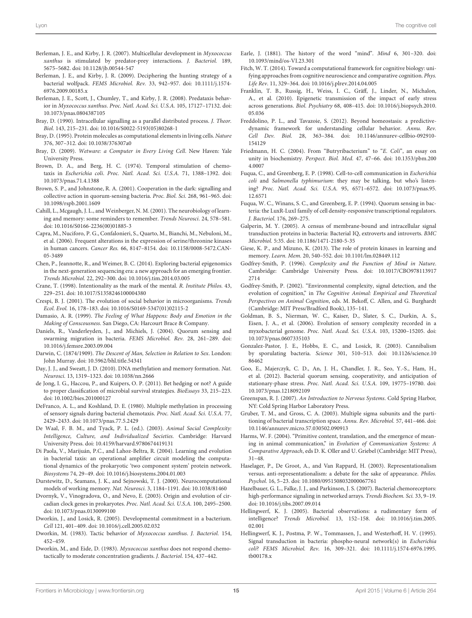- <span id="page-14-43"></span>Berleman, J. E., and Kirby, J. R. (2007). Multicellular development in *Myxococcus xanthus* is stimulated by predator-prey interactions. *J. Bacteriol.* 189, 5675–5682. doi: 10.1128/jb.00544-547
- <span id="page-14-23"></span>Berleman, J. E., and Kirby, J. R. (2009). Deciphering the hunting strategy of a bacterial wolfpack. *FEMS Microbiol. Rev.* 33, 942–957. doi: 10.1111/j.1574- 6976.2009.00185.x
- <span id="page-14-26"></span>Berleman, J. E., Scott, J., Chumley, T., and Kirby, J. R. (2008). Predataxis behavior in *Myxococcus xanthus*. *Proc. Natl. Acad. Sci. U.S.A.* 105, 17127–17132. doi: 10.1073/pnas.0804387105
- <span id="page-14-37"></span>Bray, D. (1990). Intracellular signalling as a parallel distributed process. *J. Theor. Biol.* 143, 215–231. doi: 10.1016/S0022-5193(05)80268-1
- <span id="page-14-38"></span>Bray, D. (1995). Protein molecules as computational elements in living cells. *Nature* 376, 307–312. doi: 10.1038/376307a0
- <span id="page-14-0"></span>Bray, D. (2009). *Wetware: a Computer in Every Living Cell*. New Haven: Yale University Press.
- <span id="page-14-32"></span>Brown, D. A., and Berg, H. C. (1974). Temporal stimulation of chemotaxis in *Escherichia coli*. *Proc. Natl. Acad. Sci. U.S.A.* 71, 1388–1392. doi: 10.1073/pnas.71.4.1388
- <span id="page-14-22"></span>Brown, S. P., and Johnstone, R. A. (2001). Cooperation in the dark: signalling and collective action in quorum-sensing bacteria. *Proc. Biol. Sci.* 268, 961–965. doi: 10.1098/rspb.2001.1609
- <span id="page-14-28"></span>Cahill, L., Mcgaugh, J. L., and Weinberger, N. M. (2001). The neurobiology of learning and memory: some reminders to remember. *Trends Neurosci*. 24, 578–581. doi: 10.1016/S0166-2236(00)01885-3
- <span id="page-14-7"></span>Capra, M., Nuciforo, P. G., Confalonieri, S., Quarto, M., Bianchi, M., Nebuloni, M., et al. (2006). Frequent alterations in the expression of serine/threonine kinases in human cancers. *Cancer Res.* 66, 8147–8154. doi: 10.1158/0008-5472.CAN-05-3489
- <span id="page-14-36"></span>Chen, P., Jeannotte, R., and Weimer, B. C. (2014). Exploring bacterial epigenomics in the next-generation sequencing era: a new approach for an emerging frontier. *Trends Microbiol.* 22, 292–300. doi: 10.1016/j.tim.2014.03.005
- <span id="page-14-8"></span>Crane, T. (1998). Intentionality as the mark of the mental. *R. Institute Philos.* 43, 229–251. doi: 10.1017/S1358246100004380
- <span id="page-14-21"></span>Crespi, B. J. (2001). The evolution of social behavior in microorganisms. *Trends Ecol. Evol.* 16, 178–183. doi: 10.1016/S0169-5347(01)02115-2
- <span id="page-14-3"></span>Damasio, A. R. (1999). *The Feeling of What Happens: Body and Emotion in the Making of Conscousness*. San Diego, CA: Harcourt Brace & Company.
- <span id="page-14-18"></span>Daniels, R., Vanderleyden, J., and Michiels, J. (2004). Quorum sensing and swarming migration in bacteria. *FEMS Microbiol. Rev.* 28, 261–289. doi: 10.1016/j.femsre.2003.09.004
- <span id="page-14-10"></span>Darwin, C. (1874/1909). *The Descent of Man, Selection in Relation to Sex*. London: John Murray. doi: 10.5962/bhl.title.54341
- <span id="page-14-34"></span>Day, J. J., and Sweatt, J. D. (2010). DNA methylation and memory formation. *Nat. Neurosci.* 13, 1319–1323. doi: 10.1038/nn.2666
- <span id="page-14-41"></span>de Jong, I. G., Haccou, P., and Kuipers, O. P. (2011). Bet hedging or not? A guide to proper classification of microbial survival strategies. *BioEssays* 33, 215–223. doi: 10.1002/bies.201000127
- <span id="page-14-33"></span>DeFranco, A. L., and Koshland, D. E. (1980). Multiple methylation in processing of sensory signals during bacterial chemotaxis. *Proc. Natl. Acad. Sci. U.S.A.* 77, 2429–2433. doi: 10.1073/pnas.77.5.2429
- <span id="page-14-20"></span>De Waal, F. B. M., and Tyack, P. L. (ed.). (2003). *Animal Social Complexity: Intelligence, Culture, and Individualized Societies*. Cambridge: Harvard University Press. doi: 10.4159/harvard.9780674419131
- <span id="page-14-45"></span>Di Paola, V., Marijuán, P.C., and Lahoz-Beltra, R. (2004). Learning and evolution in bacterial taxis: an operational amplifier circuit modeling the computational dynamics of the prokaryotic 'two component system' protein network. *Biosystems* 74, 29–49. doi: 10.1016/j.biosystems.2004.01.003
- <span id="page-14-39"></span>Durstewitz, D., Seamans, J. K., and Sejnowski, T. J. (2000). Neurocomputational models of working memory. *Nat. Neurosci.* 3, 1184–1191. doi: 10.1038/81460
- <span id="page-14-30"></span>Dvornyk, V., Vinogradova, O., and Nevo, E. (2003). Origin and evolution of circadian clock genes in prokaryotes. *Proc. Natl. Acad. Sci. U.S.A.* 100, 2495–2500. doi: 10.1073/pnas.0130099100
- <span id="page-14-40"></span>Dworkin, J., and Losick, R. (2005). Developmental commitment in a bacterium. *Cell* 121, 401–409. doi: 10.1016/j.cell.2005.02.032
- <span id="page-14-14"></span>Dworkin, M. (1983). Tactic behavior of *Myxococcus xanthus*. *J. Bacteriol.* 154, 452–459.
- <span id="page-14-27"></span>Dworkin, M., and Eide, D. (1983). *Myxococcus xanthus* does not respond chemotactically to moderate concentration gradients. *J. Bacteriol.* 154, 437–442.
- <span id="page-14-31"></span>Earle, J. (1881). The history of the word "mind". *Mind* 6, 301–320. doi: 10.1093/mind/os-VI.23.301
- <span id="page-14-6"></span>Fitch, W. T. (2014). Toward a computational framework for cognitive biology: unifying approaches from cognitive neuroscience and comparative cognition. *Phys. Life Rev*. 11, 329–364. doi: 10.1016/j.plrev.2014.04.005
- <span id="page-14-35"></span>Franklin, T. B., Russig, H., Weiss, I. C., Gräff, J., Linder, N., Michalon, A., et al. (2010). Epigenetic transmission of the impact of early stress across generations. *Biol. Psychiatry* 68, 408–415. doi: 10.1016/j.biopsych.2010. 05.036
- <span id="page-14-13"></span>Freddolino, P. L., and Tavazoie, S. (2012). Beyond homeostasis: a predictivedynamic framework for understanding cellular behavior. *Annu. Rev. Cell Dev. Biol.* 28, 363–384. doi: 10.1146/annurev-cellbio-092910- 154129
- <span id="page-14-46"></span>Friedmann, H. C. (2004). From "Butryribacterium" to "*E. Coli*", an essay on unity in biochemistry*. Perspect. Biol. Med.* 47, 47–66. doi: 10.1353/pbm.200 4.0007
- <span id="page-14-11"></span>Fuqua, C., and Greenberg, E. P. (1998). Cell-to-cell communication in *Escherichia coli* and *Salmonella typhimurium*: they may be talking, but who's listening? *Proc. Natl. Acad. Sci. U.S.A.* 95, 6571–6572. doi: 10.1073/pnas.95. 12.6571
- <span id="page-14-17"></span>Fuqua, W. C., Winans, S. C., and Greenberg, E. P. (1994). Quorum sensing in bacteria: the LuxR-LuxI family of cell density-responsive transcriptional regulators. *J. Bacteriol.* 176, 269–275.
- <span id="page-14-2"></span>Galperin, M. Y. (2005). A census of membrane-bound and intracellular signal transduction proteins in bacteria: Bacterial IQ, extroverts and introverts. *BMC Microbiol.* 5:35. doi: 10.1186/1471-2180-5-35
- <span id="page-14-9"></span>Giese, K. P., and Mizuno, K. (2013). The role of protein kinases in learning and memory. *Learn. Mem.* 20, 540–552. doi: 10.1101/lm.028449.112
- <span id="page-14-12"></span>Godfrey-Smith, P. (1996). *Complexity and the Function of Mind in Nature*. Cambridge: Cambridge University Press. doi: 10.1017/CBO978113917 2714
- <span id="page-14-25"></span>Godfrey-Smith, P. (2002). "Environmental complexity, signal detection, and the evolution of cognition," in *The Cognitive Animal: Empirical and Theoretical Perspectives on Animal Cognition*, eds. M. Bekoff, C. Allen, and G. Burghardt (Cambridge: MIT Press/Bradford Book), 135–141.
- <span id="page-14-24"></span>Goldman, B. S., Nierman, W. C., Kaiser, D., Slater, S. C., Durkin, A. S., Eisen, J. A., et al. (2006). Evolution of sensory complexity recorded in a myxobacterial genome. *Proc. Natl. Acad. Sci. U.S.A.* 103, 15200–15205. doi: 10.1073/pnas.0607335103
- <span id="page-14-42"></span>Gonzalez-Pastor, J. E., Hobbs, E. C., and Losick, R. (2003). Cannibalism by sporulating bacteria. *Science* 301, 510–513. doi: 10.1126/science.10 86462
- <span id="page-14-29"></span>Goo, E., Majerczyk, C. D., An, J. H., Chandler, J. R., Seo, Y.-S., Ham, H., et al. (2012). Bacterial quorum sensing, cooperativity, and anticipation of stationary-phase stress. *Proc. Natl. Acad. Sci. U.S.A.* 109, 19775–19780. doi: 10.1073/pnas.1218092109
- <span id="page-14-4"></span>Greenspan, R. J. (2007). *An Introduction to Nervous Systems*. Cold Spring Harbor, NY: Cold Spring Harbor Laboratory Press.
- <span id="page-14-16"></span>Gruber, T. M., and Gross, C. A. (2003). Multiple sigma subunits and the partitioning of bacterial transcription space. *Annu. Rev. Microbiol.* 57, 441–466. doi: 10.1146/annurev.micro.57.030502.090913
- <span id="page-14-19"></span>Harms, W. F. (2004). "Primitive content, translation, and the emergence of meaning in animal communication," in *Evolution of Communication Systems: A Comparative Approach*, eds D. K. Oller and U. Griebel (Cambridge: MIT Press), 31–48.
- <span id="page-14-44"></span>Haselager, P., De Groot, A., and Van Rappard, H. (2003). Representationalism versus. anti-representationalism: a debate for the sake of appearance. *Philos. Psychol.* 16, 5–23. doi: 10.1080/0951508032000067761
- <span id="page-14-5"></span>Hazelbauer, G. L., Falke, J. J., and Parkinson, J. S. (2007). Bacterial chemoreceptors: high-performance signaling in networked arrays. *Trends Biochem. Sci.* 33, 9–19. doi: 10.1016/j.tibs.2007.09.014
- <span id="page-14-1"></span>Hellingwerf, K. J. (2005). Bacterial observations: a rudimentary form of intelligence? *Trends Microbiol.* 13, 152–158. doi: 10.1016/j.tim.2005. 02.001
- <span id="page-14-15"></span>Hellingwerf, K. J., Postma, P. W., Tommassen, J., and Westerhoff, H. V. (1995). Signal transduction in bacteria: phospho-neural network(s) in *Escherichia coli*? *FEMS Microbiol. Rev.* 16, 309–321. doi: 10.1111/j.1574-6976.1995. tb00178.x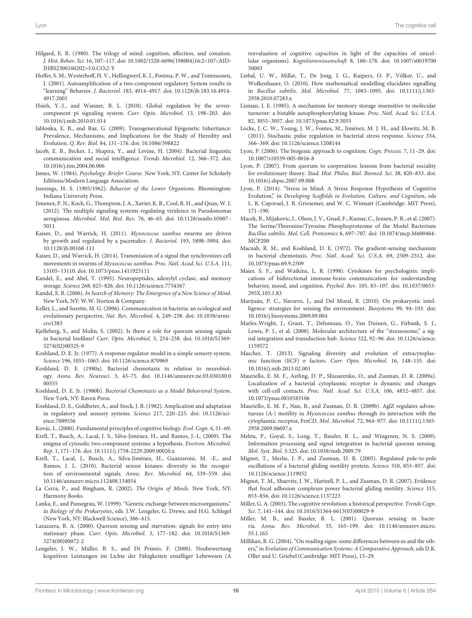- <span id="page-15-37"></span>Hilgard, E. R. (1980). The trilogy of mind: cognition, affection, and conation. *J. Hist. Behav. Sci.* 16, 107–117. doi: 10.1002/1520-6696(198004)16:2<107::AID-JHBS2300160202>3.0.CO;2-Y
- <span id="page-15-41"></span>Hoffer, S. M., Westerhoff, H. V., Hellingwerf, K. J., Postma, P. W., and Tommassen, J. (2001). Autoamplification of a two-component regulatory System results in "learning" Behavior. *J. Bacteriol.* 183, 4914–4917. doi: 10.1128/jb.183.16.4914- 4917.2001
- <span id="page-15-18"></span>Hsieh, Y.-J., and Wanner, B. L. (2010). Global regulation by the sevencomponent pi signaling system. *Curr. Opin. Microbiol*. 13, 198–203. doi: 10.1016/j.mib.2010.01.014
- <span id="page-15-36"></span>Jablonka, E. B., and Raz, G. (2009). Transgenerational Epigenetic Inheritance: Prevalence, Mechanisms, and Implications for the Study of Heredity and Evolution. *Q. Rev. Biol.* 84, 131–176. doi: 10.1086/598822
- <span id="page-15-3"></span>Jacob, E. B., Becker, I., Shapira, Y., and Levine, H. (2004). Bacterial linguistic communication and social intelligence. *Trends Microbiol.* 12, 366–372. doi: 10.1016/j.tim.2004.06.006
- <span id="page-15-7"></span>James, W. (1984). *Psychology: Briefer Course*. New York, NY: Center for Scholarly Editions/Modern Language Association.
- <span id="page-15-0"></span>Jennings, H. S. (1905/1962). *Behavior of the Lower Organisms*. Bloomington: Indiana University Press.
- <span id="page-15-26"></span>Jimenez, P. N., Koch, G., Thompson, J. A., Xavier, K. B., Cool, R. H., and Quax, W. J. (2012). The multiple signaling systems regulating virulence in Pseudomonas aeruginosa. *Microbiol. Mol. Biol. Rev.* 76, 46–65. doi: 10.1128/mmbr.05007– 5011
- <span id="page-15-34"></span>Kaiser, D., and Warrick, H. (2011). *Myxococcus xanthus* swarms are driven by growth and regulated by a pacemaker. *J. Bacteriol.* 193, 5898–5904. doi: 10.1128/jb.00168-111
- <span id="page-15-30"></span>Kaiser, D., and Warrick, H. (2014). Transmission of a signal that synchronizes cell movements in swarms of *Myxococcus xanthus*. *Proc. Natl. Acad. Sci. U.S.A.* 111, 13105–13110. doi: 10.1073/pnas.1411925111
- <span id="page-15-39"></span>Kandel, E., and Abel, T. (1995). Neuropeptides, adenylyl cyclase, and memory storage. *Science* 268, 825–826. doi: 10.1126/science.7754367
- <span id="page-15-11"></span>Kandel, E. R. (2006). *In Search of Memory: The Emergence of a New Science of Mind*. New York, NY: W.W. Norton & Company.
- <span id="page-15-28"></span>Keller, L., and Surette, M. G. (2006). Communication in bacteria: an ecological and evolutionary perspective. *Nat. Rev. Microbiol.* 4, 249–258. doi: 10.1038/nrmicro1383
- <span id="page-15-24"></span>Kjelleberg, S., and Molin, S. (2002). Is there a role for quorum sensing signals in bacterial biofilms? *Curr. Opin. Microbiol.* 5, 254–258. doi: 10.1016/S1369- 5274(02)00325-9
- <span id="page-15-16"></span>Koshland, D. E. Jr. (1977). A response regulator model in a simple sensory system. *Science* 196, 1055–1063. doi: 10.1126/science.870969
- <span id="page-15-38"></span>Koshland, D. E. (1980a). Bacterial chemotaxis in relation to neurobiology. *Annu. Rev. Neurosci.* 3, 43–75. doi: 10.1146/annurev.ne.03.030180.0 00355
- <span id="page-15-1"></span>Koshland, D. E. Jr. (1980b). *Bacterial Chemotaxis as a Model Behavioral System*. New York, NY: Raven Press.
- <span id="page-15-40"></span>Koshland, D. E., Goldbeter, A., and Stock, J. B. (1982). Amplication and adaptation in regulatory and sensory systems. *Science* 217, 220–225. doi: 10.1126/science.7089556
- <span id="page-15-6"></span>Kovác, L. (2000). Fundamental principles of cognitive biology. *Evol. Cogn.* 6, 51–69.
- <span id="page-15-17"></span>Krell, T., Busch, A., Lacal, J. S., Silva-Jiménez, H., and Ramos, J.-L. (2009). The enigma of cytosolic two-component systems: a hypothesis. *Environ. Microbiol. Rep.* 1, 171–176. doi: 10.1111/j.1758-2229.2009.00020.x
- <span id="page-15-15"></span>Krell, T., Lacal, J., Busch, A., Silva-Jiménez, H., Guazzaroni, M. -E., and Ramos, J. L. (2010). Bacterial sensor kinases: diversity in the recognition of environmental signals. *Annu. Rev. Microbiol.* 64, 539–559. doi: 10.1146/annurev.micro.112408.134054
- <span id="page-15-8"></span>La Cerra, P., and Bingham, R. (2002). *The Origin of Minds*. New York, NY: Harmony Books.
- <span id="page-15-23"></span>Lanka, E., and Pansegrau, W. (1999). "Genetic exchange between microorganisms," in *Biology of the Prokaryotes*, eds. J.W. Lengeler, G. Drews, and H.G. Schlegel (New York, NY: Blackwell Science), 386–415.
- <span id="page-15-22"></span>Lazazzera, B. A. (2000). Quorum sensing and starvation: signals for entry into stationary phase. *Curr. Opin. Microbiol.* 3, 177–182. doi: 10.1016/S1369- 5274(00)00072-2
- <span id="page-15-2"></span>Lengeler, J. W., Müller, B. S., and Di Primio, F. (2000). Neubewertung kognitiver Leistungen im Lichte der Fähigkeiten enzelliger Lebewesen (A

reevaluation of cognitive capacities in light of the capacities of unicellular organisms). *Kognitionswissenschaft* 8, 160–178. doi: 10.1007/s0019700 50003

- <span id="page-15-43"></span>Liebal, U. W., Millat, T., De Jong, I. G., Kuipers, O. P., Völker, U., and Wolkenhauer, O. (2010). How mathematical modelling elucidates signalling in *Bacillus subtilis*. *Mol. Microbiol.* 77, 1083–1095. doi: 10.1111/j.1365- 2958.2010.07283.x
- <span id="page-15-42"></span>Lisman, J. E. (1985). A mechanism for memory storage insensitive to molecular turnover: a bistable autophosphorylating kinase. *Proc. Natl. Acad. Sci. U.S.A.* 82, 3055–3057. doi: 10.1073/pnas.82.9.3055
- <span id="page-15-20"></span>Locke, J. C. W., Young, J. W., Fontes, M., Jiménez, M. J. H., and Elowitz, M. B. (2011). Stochastic pulse regulation in bacterial stress response. *Science* 334, 366–369. doi: 10.1126/science.1208144
- <span id="page-15-9"></span>Lyon, P. (2006). The biogenic approach to cognition. *Cogn. Process.* 7, 11–29. doi: 10.1007/s10339-005-0016-8
- <span id="page-15-29"></span>Lyon, P. (2007). From quorum to cooperation: lessons from bacterial sociality for evolutionary theory. *Stud. Hist. Philos. Biol. Biomed. Sci.* 38, 820–833. doi: 10.1016/j.shpsc.2007.09.008
- <span id="page-15-13"></span>Lyon, P. (2014). "Stress in Mind: A Stress Response Hypothesis of Cognitive Evolution," in *Developing Scaffolds in Evolution, Culture, and Cognition*, eds L. R. Caporael, J. R. Griesemer, and W. C. Wimsatt (Cambridge: MIT Press), 171–190.
- <span id="page-15-12"></span>Macek, B., Mijakovic, I., Olsen, J. V., Gnad, F., Kumar, C., Jensen, P. R., et al. (2007). The Serine/Threonine/Tyrosine Phosphoproteome of the Model Bacterium *Bacillus subtilis*. *Mol. Cell. Proteomics* 6, 697–707. doi: 10.1074/mcp.M600464- MCP200
- <span id="page-15-10"></span>Macnab, R. M., and Koshland, D. E. (1972). The gradient-sensing mechanism in bacterial chemotaxis. *Proc. Natl. Acad. Sci. U.S.A.* 69, 2509–2512. doi: 10.1073/pnas.69.9.2509
- <span id="page-15-14"></span>Maier, S. F., and Watkins, L. R. (1998). Cytokines for psychologists: implications of bidirectional immune-brain communication for understanding behavior, mood, and cognition. *Psychol. Rev.* 105, 83–107. doi: 10.1037/0033- 295X.105.1.83
- <span id="page-15-4"></span>Marijuán, P. C., Navarro, J., and Del Moral, R. (2010). On prokaryotic intelligence: strategies for sensing the environment. *Biosystems* 99, 94–103. doi: 10.1016/j.biosystems.2009.09.004
- <span id="page-15-44"></span>Marles-Wright, J., Grant, T., Delumeau, O., Van Duinen, G., Firbank, S. J., Lewis, P. J., et al. (2008). Molecular architecture of the "stressosome," a signal integration and transduction hub. *Science* 322, 92–96. doi: 10.1126/science. 1159572
- <span id="page-15-19"></span>Mascher, T. (2013). Signaling diversity and evolution of extracytoplasmic function (ECF) σ factors. *Curr. Opin. Microbiol.* 16, 148–155. doi: 10.1016/j.mib.2013.02.001
- <span id="page-15-35"></span>Mauriello, E. M. F., Astling, D. P., Sliusarenko, O., and Zusman, D. R. (2009a). Localization of a bacterial cytoplasmic receptor is dynamic and changes with cell-cell contacts. *Proc. Natl. Acad. Sci. U.S.A.* 106, 4852–4857. doi: 10.1073/pnas.0810583106
- <span id="page-15-33"></span>Mauriello, E. M. F., Nan, B., and Zusman, D. R. (2009b). AglZ regulates adventurous (A-) motility in *Myxococcus xanthus* through its interaction with the cytoplasmic receptor, FrzCD. *Mol. Microbiol.* 72, 964–977. doi: 10.1111/j.1365- 2958.2009.06697.x
- <span id="page-15-25"></span>Mehta, P., Goyal, S., Long, T., Bassler, B. L., and Wingreen, N. S. (2009). Information processing and signal integration in bacterial quorum sensing. *Mol. Syst. Biol.* 5:325. doi: 10.1038/msb.2009.79
- <span id="page-15-31"></span>Mignot, T., Merlie, J. P., and Zusman, D. R. (2005). Regulated pole-to-pole oscillations of a bacterial gliding motility protein. *Science* 310, 855–857. doi: 10.1126/science.1119052
- <span id="page-15-32"></span>Mignot, T. M., Shaevitz, J. W., Hartzell, P. L., and Zusman, D. R. (2007). Evidence that focal adhesion complexes power bacterial gliding motility. *Science* 315, 853–856. doi: 10.1126/science.1137223
- <span id="page-15-5"></span>Miller, G. A. (2003). The cognitive revolution: a historical perspective. *Trends Cogn. Sci.* 7, 141–144. doi: 10.1016/S1364-6613(03)00029-9
- <span id="page-15-21"></span>Miller, M. B., and Bassler, B. L. (2001). Quorum sensing in bacteria. *Annu. Rev. Microbiol.* 55, 165–199. doi: 10.1146/annurev.micro. 55.1.165
- <span id="page-15-27"></span>Millikan, R. G. (2004). "On reading signs: some differences between us and the others," in *Evolution of Communication Systems: A Comparative Approach*, eds D.K. Oller and U. Griebel (Cambridge: MIT Press), 15–29.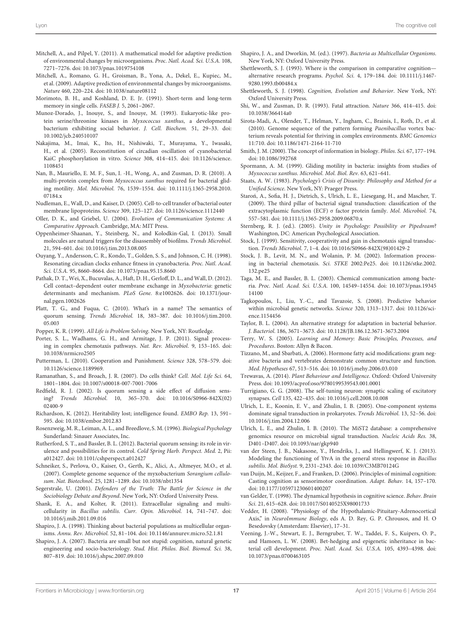- <span id="page-16-48"></span>Mitchell, A., and Pilpel, Y. (2011). A mathematical model for adaptive prediction of environmental changes by microorganisms. *Proc. Natl. Acad. Sci. U.S.A.* 108, 7271–7276. doi: 10.1073/pnas.1019754108
- <span id="page-16-17"></span>Mitchell, A., Romano, G. H., Groisman, B., Yona, A., Dekel, E., Kupiec, M., et al. (2009). Adaptive prediction of environmental changes by microorganisms. *Nature* 460, 220–224. doi: 10.1038/nature08112
- <span id="page-16-39"></span>Morimoto, B. H., and Koshland, D. E. Jr. (1991). Short-term and long-term memory in single cells. *FASEB J.* 5, 2061–2067.
- <span id="page-16-9"></span>Munoz-Dorado, J., Inouye, S., and Inouye, M. (1993). Eukaryotic-like protein serine/threonine kinases in *Myxococcus xanthus*, a developmental bacterium exhibiting social behavior. *J. Cell. Biochem.* 51, 29–33. doi: 10.1002/jcb.240510107
- <span id="page-16-38"></span>Nakajima, M., Imai, K., Ito, H., Nishiwaki, T., Murayama, Y., Iwasaki, H., et al. (2005). Reconstitution of circadian oscillation of cyanobacterial KaiC phosphorylation in vitro. *Science* 308, 414–415. doi: 10.1126/science. 1108451
- <span id="page-16-31"></span>Nan, B., Mauriello, E. M. F., Sun, I. -H., Wong, A., and Zusman, D. R. (2010). A multi-protein complex from *Myxococcus xanthus* required for bacterial gliding motility. *Mol. Microbiol.* 76, 1539–1554. doi: 10.1111/j.1365-2958.2010. 07184<sub>x</sub>
- <span id="page-16-30"></span>Nudleman, E., Wall, D., and Kaiser, D. (2005). Cell-to-cell transfer of bacterial outer membrane lipoproteins. *Science* 309, 125–127. doi: 10.1126/science.1112440
- <span id="page-16-24"></span>Oller, D. K., and Griebel, U. (2004). *Evolution of Communication Systems: A Comparative Approach*. Cambridge, MA: MIT Press.
- <span id="page-16-20"></span>Oppenheimer-Shaanan, Y., Steinberg, N., and Kolodkin-Gal, I. (2013). Small molecules are natural triggers for the disassembly of biofilms. *Trends Microbiol*. 21, 594–601. doi: 10.1016/j.tim.2013.08.005
- <span id="page-16-37"></span>Ouyang, Y., Andersson, C. R., Kondo, T., Golden, S. S., and Johnson, C. H. (1998). Resonating circadian clocks enhance fitness in cyanobacteria. *Proc. Natl. Acad. Sci. U.S.A.* 95, 8660–8664. doi: 10.1073/pnas.95.15.8660
- <span id="page-16-32"></span>Pathak, D. T., Wei, X., Bucuvalas, A., Haft, D. H., Gerloff, D. L., and Wall, D. (2012). Cell contact–dependent outer membrane exchange in *Myxobacteria*: genetic determinants and mechanism. *PLoS Gene.* 8:e1002626. doi: 10.1371/journal.pgen.1002626
- <span id="page-16-28"></span>Platt, T. G., and Fuqua, C. (2010). What's in a name? The semantics of quorum sensing. *Trends Microbiol.* 18, 383–387. doi: 10.1016/j.tim.2010. 05.003
- <span id="page-16-0"></span>Popper, K. R. (1999). *All Life is Problem Solving*. New York, NY: Routledge.
- <span id="page-16-44"></span>Porter, S. L., Wadhams, G. H., and Armitage, J. P. (2011). Signal processing in complex chemotaxis pathways. *Nat. Rev. Microbiol*. 9, 153–165. doi: 10.1038/nrmicro2505
- <span id="page-16-35"></span>Putterman, L. (2010). Cooperation and Punishment. *Science* 328, 578–579. doi: 10.1126/science.1189969.
- <span id="page-16-3"></span>Ramanathan, S., and Broach, J. R. (2007). Do cells think? *Cell. Mol. Life Sci.* 64, 1801–1804. doi: 10.1007/s00018-007-7001-7006
- <span id="page-16-26"></span>Redfield, R. J. (2002). Is quorum sensing a side effect of diffusion sensing? *Trends Microbiol*. 10, 365–370. doi: 10.1016/S0966-842X(02) 02400-9
- <span id="page-16-4"></span>Richardson, K. (2012). Heritability lost; intelligence found. *EMBO Rep.* 13, 591– 595. doi: 10.1038/embor.2012.83
- <span id="page-16-42"></span>Rosenzweig, M. R., Leiman, A. L., and Breedlove, S. M. (1996). *Biological Psychology* Sunderland: Sinauer Associates, Inc.
- <span id="page-16-21"></span>Rutherford, S. T., and Bassler, B. L. (2012). Bacterial quorum sensing: its role in virulence and possibilities for its control. *Cold Spring Harb. Perspect. Med.* 2, Pii: a012427. doi: 10.1101/cshperspect.a012427
- <span id="page-16-10"></span>Schneiker, S., Perlova, O., Kaiser, O., Gerth, K., Alici, A., Altmeyer, M.O., et al. (2007). Complete genome sequence of the myxobacterium *Sorangium cellulosum*. *Nat. Biotechnol.* 25, 1281–1289. doi: 10.1038/nbt1354
- <span id="page-16-25"></span>Segerstrale, U. (2001). *Defenders of the Truth: The Battle for Science in the Sociobiology Debate and Beyond*. New York, NY: Oxford University Press.
- <span id="page-16-19"></span>Shank, E. A., and Kolter, R. (2011). Extracellular signaling and multicellularity in *Bacillus subtilis*. *Curr. Opin. Microbiol.* 14, 741–747. doi: 10.1016/j.mib.2011.09.016
- <span id="page-16-13"></span>Shapiro, J. A. (1998). Thinking about bacterial populations as multicellular organisms. *Annu. Rev. Microbiol.* 52, 81–104. doi: 10.1146/annurev.micro.52.1.81
- <span id="page-16-2"></span>Shapiro, J. A. (2007). Bacteria are small but not stupid: cognition, natural genetic engineering and socio-bacteriology. *Stud. Hist. Philos. Biol. Biomed. Sci.* 38, 807–819. doi: 10.1016/j.shpsc.2007.09.010
- <span id="page-16-27"></span>Shapiro, J. A., and Dworkin, M. (ed.). (1997). *Bacteria as Multicellular Organisms*. New York, NY: Oxford University Press.
- <span id="page-16-8"></span>Shettleworth, S. J. (1993). Where is the comparison in comparative cognition alternative research programs. *Psychol. Sci.* 4, 179–184. doi: 10.1111/j.1467- 9280.1993.tb00484.x
- <span id="page-16-12"></span>Shettleworth, S. J. (1998). *Cognition, Evolution and Behavior*. New York, NY: Oxford University Press.
- <span id="page-16-29"></span>Shi, W., and Zusman, D. R. (1993). Fatal attraction. *Nature* 366, 414–415. doi: 10.1038/366414a0
- <span id="page-16-11"></span>Sirota-Madi, A., Olender, T., Helman, Y., Ingham, C., Brainis, I., Roth, D., et al. (2010). Genome sequence of the pattern forming *Paenibacillus* vortex bacterium reveals potential for thriving in complex environments. *BMC Genomics* 11:710. doi: 10.1186/1471-2164-11-710
- <span id="page-16-23"></span>Smith, J. M. (2000). The concept of information in biology. *Philos. Sci.* 67, 177–194. doi: 10.1086/392768
- <span id="page-16-34"></span>Spormann, A. M. (1999). Gliding motility in bacteria: insights from studies of *Myxococcus xanthus*. *Microbiol. Mol. Biol. Rev.* 63, 621–641.
- <span id="page-16-6"></span>Staats, A. W. (1983). *Psychology's Crisis of Disunity: Philosophy and Method for a Unified Science*. New York, NY: Praeger Press.
- <span id="page-16-15"></span>Staron, A., Sofia, H. J., Dietrich, S., Ulrich, L. E., Liesegang, H., and Mascher, T. (2009). The third pillar of bacterial signal transduction: classification of the extracytoplasmic function (ECF) σ factor protein family. *Mol. Microbiol.* 74, 557–581. doi: 10.1111/j.1365-2958.2009.06870.x
- <span id="page-16-7"></span>Sternberg, R. J. (ed.). (2005). *Unity in Psychology: Possibility or Pipedream*? Washington, DC: American Psychological Association.
- <span id="page-16-43"></span>Stock, J. (1999). Sensitivity, cooperativity and gain in chemotaxis signal transduction. *Trends Microbiol.* 7, 1–4. doi: 10.1016/S0966-842X(98)01429-2
- <span id="page-16-49"></span>Stock, J. B., Levit, M. N., and Wolanin, P. M. (2002). Information processing in bacterial chemotaxis. *Sci. STKE* 2002:Pe25. doi: 10.1126/stke.2002. 132.pe25
- <span id="page-16-22"></span>Taga, M. E., and Bassler, B. L. (2003). Chemical communication among bacteria. *Proc. Natl. Acad. Sci. U.S.A.* 100, 14549–14554. doi: 10.1073/pnas.19345 14100
- <span id="page-16-18"></span>Tagkopoulos, I., Liu, Y.-C., and Tavazoie, S. (2008). Predictive behavior within microbial genetic networks. *Science* 320, 1313–1317. doi: 10.1126/science.1154456
- <span id="page-16-45"></span>Taylor, B. L. (2004). An alternative strategy for adaptation in bacterial behavior. *J. Bacteriol.* 186, 3671–3673. doi: 10.1128/JB.186.12.3671-3673.2004
- <span id="page-16-41"></span>Terry, W. S. (2005). *Learning and Memory: Basic Principles, Processes, and Procedures*. Boston: Allyn & Bacon.
- <span id="page-16-47"></span>Tizzano, M., and Sbarbati, A. (2006). Hormone fatty acid modifications: gram negative bacteria and vertebrates demonstrate common structure and function. *Med. Hypotheses* 67, 513–516. doi: 10.1016/j.mehy.2006.03.010
- <span id="page-16-36"></span>Trewavas, A. (2014). *Plant Behaviour and Intelligence*. Oxford: Oxford University Press. doi: 10.1093/acprof:oso/9780199539543.001.0001
- <span id="page-16-33"></span>Turrigiano, G. G. (2008). The self-tuning neuron: synaptic scaling of excitatory synapses. *Cell* 135, 422–435. doi: 10.1016/j.cell.2008.10.008
- <span id="page-16-16"></span>Ulrich, L. E., Koonin, E. V., and Zhulin, I. B. (2005). One-component systems dominate signal transduction in prokaryotes. *Trends Microbiol.* 13, 52–56. doi: 10.1016/j.tim.2004.12.006
- <span id="page-16-5"></span>Ulrich, L. E., and Zhulin, I. B. (2010). The MiST2 database: a comprehensive genomics resource on microbial signal transduction. *Nucleic Acids Res.* 38, D401–D407. doi: 10.1093/nar/gkp940
- <span id="page-16-50"></span>van der Steen, J. B., Nakasone, Y., Hendriks, J., and Hellingwerf, K. J. (2013). Modeling the functioning of YtvA in the general stress response in *Bacillus subtilis*. *Mol. BioSyst.* 9, 2331–2343. doi: 10.1039/C3MB70124G
- <span id="page-16-1"></span>van Duijn, M., Keijzer, F., and Franken, D. (2006). Principles of minimal cognition: Casting cognition as sensorimotor coordination. *Adapt. Behav.* 14, 157–170. doi: 10.1177/105971230601400207
- <span id="page-16-46"></span>van Gelder, T. (1998). The dynamical hypothesis in cognitive science. *Behav. Brain Sci.* 21, 615–628. doi: 10.1017/S0140525X98001733
- <span id="page-16-14"></span>Vedder, H. (2008). "Physiology of the Hypothalamic-Pituitary-Adrenocortical Axis," in *NeuroImmune Biology*, eds A. D. Rey, G. P. Chrousos, and H. O Besedovsky (Amsterdam: Elsevier), 17–31.
- <span id="page-16-40"></span>Veening, J.-W., Stewart, E. J., Berngruber, T. W., Taddei, F. S., Kuipers, O. P., and Hamoen, L. W. (2008). Bet-hedging and epigenetic inheritance in bacterial cell development. *Proc. Natl. Acad. Sci. U.S.A.* 105, 4393–4398. doi: 10.1073/pnas.0700463105